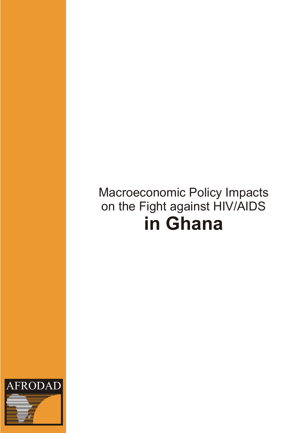# Macroeconomic Policy Impacts on the Fight against HIV/AIDS **in Ghana**

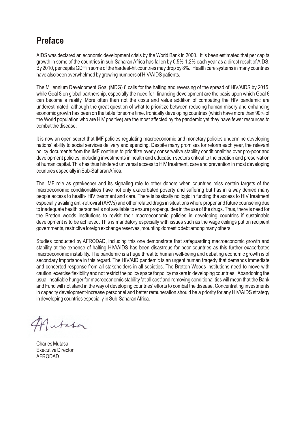### **Preface**

AIDS was declared an economic development crisis by the World Bank in 2000. It is been estimated that per capita growth in some of the countries in sub-Saharan Africa has fallen by 0.5%-1.2% each year as a direct result of AIDS. By 2010, per capita GDPin some of the hardest-hit countries may drop by 8%. Health care systems in many countries have also been overwhelmed by growing numbers of HIV/AIDS patients.

The Millennium Development Goal (MDG) 6 calls for the halting and reversing of the spread of HIV/AIDS by 2015, while Goal 8 on global partnership, especially the need for financing development are the basis upon which Goal 6 can become a reality. More often than not the costs and value addition of combating the HIV pandemic are underestimated, although the great question of what to prioritize between reducing human misery and enhancing economic growth has been on the table for some time. Ironically developing countries (which have more than 90% of the World population who are HIV positive) are the most affected by the pandemic yet they have fewer resources to combat the disease.

It is now an open secret that IMF policies regulating macroeconomic and monetary policies undermine developing nations' ability to social services delivery and spending. Despite many promises for reform each year, the relevant policy documents from the IMF continue to prioritize overly conservative stability conditionalities over pro-poor and development policies, including investments in health and education sectors critical to the creation and preservation of human capital. This has thus hindered universal access to HIV treatment, care and prevention in most developing countries especially in Sub-Saharan Africa.

The IMF role as gatekeeper and its signaling role to other donors when countries miss certain targets of the macroeconomic conditionalities have not only exacerbated poverty and suffering but has in a way denied many people access to health- HIV treatment and care. There is basically no logic in funding the access to HIV treatment especially availing anti-retroviral (ARVs) and other related drugs in situations where proper and future counseling due to inadequate health personnel is not available to ensure proper guides in the use of the drugs. Thus, there is need for the Bretton woods institutions to revisit their macroeconomic policies in developing countries if sustainable development is to be achieved. This is mandatory especially with issues such as the wage ceilings put on recipient governments, restrictive foreign exchange reserves, mounting domestic debt among many others.

Studies conducted by AFRODAD, including this one demonstrate that safeguarding macroeconomic growth and stability at the expense of halting HIV/AIDS has been disastrous for poor countries as this further exacerbates macroeconomic instability. The pandemic is a huge threat to human well-being and debating economic growth is of secondary importance in this regard. The HIV/AID pandemic is an urgent human tragedy that demands immediate and concerted response from all stakeholders in all societies. The Bretton Woods institutions need to move with caution, exercise flexibility and not restrict the policy space for policy makers in developing countries. Abandoning the usual insatiable hunger for macroeconomic stability 'at all cost' and removing conditionalities will mean that the Bank and Fund will not stand in the way of developing countries' efforts to combat the disease. Concentrating investments in capacity development-increase personnel and better remuneration should be a priority for any HIV/AIDS strategy in developing countries especially in Sub-Saharan Africa.

Jutata

Charles Mutasa Executive Director AFRODAD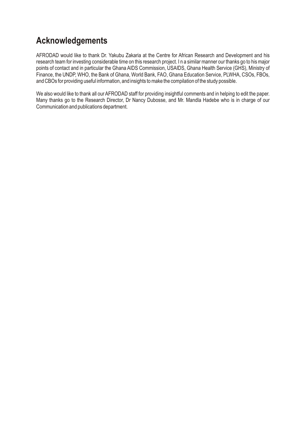### **Acknowledgements**

AFRODAD would like to thank Dr. Yakubu Zakaria at the Centre for African Research and Development and his research team for investing considerable time on this research project. I n a similar manner our thanks go to his major points of contact and in particular the Ghana AIDS Commission, USAIDS, Ghana Health Service (GHS), Ministry of Finance, the UNDP, WHO, the Bank of Ghana, World Bank, FAO, Ghana Education Service, PLWHA, CSOs, FBOs, and CBOs for providing useful information, and insights to make the compilation of the study possible.

We also would like to thank all our AFRODAD staff for providing insightful comments and in helping to edit the paper. Many thanks go to the Research Director, Dr Nancy Dubosse, and Mr. Mandla Hadebe who is in charge of our Communication and publications department.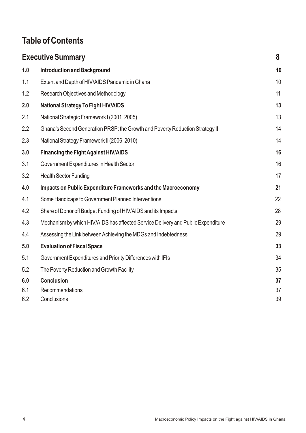# **Table of Contents**

|     | <b>Executive Summary</b>                                                         | 8  |
|-----|----------------------------------------------------------------------------------|----|
| 1.0 | <b>Introduction and Background</b>                                               | 10 |
| 1.1 | Extent and Depth of HIV/AIDS Pandemic in Ghana                                   | 10 |
| 1.2 | Research Objectives and Methodology                                              | 11 |
| 2.0 | <b>National Strategy To Fight HIV/AIDS</b>                                       | 13 |
| 2.1 | National Strategic Framework I (2001 2005)                                       | 13 |
| 2.2 | Ghana's Second Generation PRSP: the Growth and Poverty Reduction Strategy II     | 14 |
| 2.3 | National Strategy Framework II (2006 2010)                                       | 14 |
| 3.0 | <b>Financing the Fight Against HIV/AIDS</b>                                      | 16 |
| 3.1 | Government Expenditures in Health Sector                                         | 16 |
| 3.2 | <b>Health Sector Funding</b>                                                     | 17 |
| 4.0 | Impacts on Public Expenditure Frameworks and the Macroeconomy                    | 21 |
| 4.1 | Some Handicaps to Government Planned Interventions                               | 22 |
| 4.2 | Share of Donor off Budget Funding of HIV/AIDS and its Impacts                    | 28 |
| 4.3 | Mechanism by which HIV/AIDS has affected Service Delivery and Public Expenditure | 29 |
| 4.4 | Assessing the Link between Achieving the MDGs and Indebtedness                   | 29 |
| 5.0 | <b>Evaluation of Fiscal Space</b>                                                | 33 |
| 5.1 | Government Expenditures and Priority Differences with IFIs                       | 34 |
| 5.2 | The Poverty Reduction and Growth Facility                                        | 35 |
| 6.0 | <b>Conclusion</b>                                                                | 37 |
| 6.1 | Recommendations                                                                  | 37 |
| 6.2 | Conclusions                                                                      | 39 |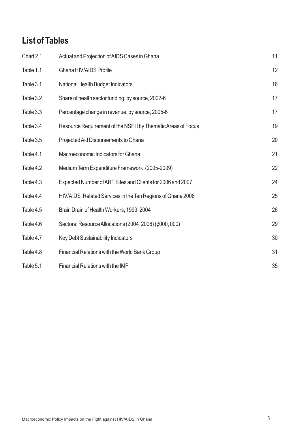# **List of Tables**

| Chart 2.1 | Actual and Projection of AIDS Cases in Ghana                  | 11 |
|-----------|---------------------------------------------------------------|----|
| Table 1.1 | Ghana HIV/AIDS Profile                                        | 12 |
| Table 3.1 | National Health Budget Indicators                             | 16 |
| Table 3.2 | Share of health sector funding, by source, 2002-6             | 17 |
| Table 3.3 | Percentage change in revenue, by source, 2005-6               | 17 |
| Table 3.4 | Resource Requirement of the NSF II by Thematic Areas of Focus | 19 |
| Table 3.5 | Projected Aid Disbursements to Ghana                          | 20 |
| Table 4.1 | Macroeconomic Indicators for Ghana                            | 21 |
| Table 4.2 | Medium Term Expenditure Framework (2005-2009)                 | 22 |
| Table 4.3 | Expected Number of ART Sites and Clients for 2006 and 2007    | 24 |
| Table 4.4 | HIV/AIDS Related Services in the Ten Regions of Ghana 2006    | 25 |
| Table 4.5 | Brain Drain of Health Workers, 1999 2004                      | 26 |
| Table 4.6 | Sectoral Resource Allocations (2004 2006) (¢000, 000)         | 29 |
| Table 4.7 | Key Debt Sustainability Indicators                            | 30 |
| Table 4.8 | Financial Relations with the World Bank Group                 | 31 |
| Table 5.1 | Financial Relations with the IMF                              | 35 |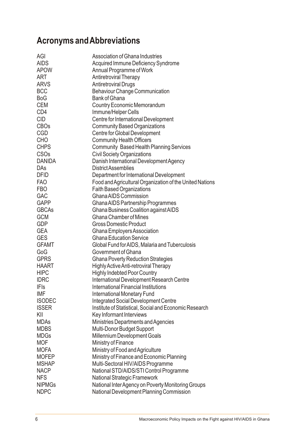# **Acronyms and Abbreviations**

| AGI                    | Association of Ghana Industries                          |
|------------------------|----------------------------------------------------------|
| <b>AIDS</b>            | Acquired Immune Deficiency Syndrome                      |
| <b>APOW</b>            | Annual Programme of Work                                 |
| <b>ART</b>             | <b>Antiretroviral Therapy</b>                            |
| <b>ARVS</b>            | <b>Antiretroviral Drugs</b>                              |
| <b>BCC</b>             | <b>Behaviour Change Communication</b>                    |
| <b>BoG</b>             | <b>Bank of Ghana</b>                                     |
| <b>CEM</b>             | <b>Country Economic Memorandum</b>                       |
| CD4                    | Immune/Helper Cells                                      |
| <b>CID</b>             | Centre for International Development                     |
| <b>CBOs</b>            | <b>Community Based Organizations</b>                     |
| <b>CGD</b>             | Centre for Global Development                            |
| <b>CHO</b>             | <b>Community Health Officers</b>                         |
| <b>CHPS</b>            | <b>Community Based Health Planning Services</b>          |
| <b>CSO<sub>s</sub></b> | <b>Civil Society Organizations</b>                       |
| <b>DANIDA</b>          | Danish International Development Agency                  |
| DAs                    | <b>District Assemblies</b>                               |
| <b>DFID</b>            | Department for International Development                 |
| <b>FAO</b>             | Food and Agricultural Organization of the United Nations |
| <b>FBO</b>             | <b>Faith Based Organizations</b>                         |
| <b>GAC</b>             | <b>Ghana AIDS Commission</b>                             |
| <b>GAPP</b>            | Ghana AIDS Partnership Programmes                        |
| <b>GBCAs</b>           | Ghana Business Coalition against AIDS                    |
| <b>GCM</b>             | <b>Ghana Chamber of Mines</b>                            |
| GDP                    | <b>Gross Domestic Product</b>                            |
| <b>GEA</b>             | Ghana Employers Association                              |
| <b>GES</b>             | <b>Ghana Education Service</b>                           |
| <b>GFAMT</b>           | Global Fund for AIDS, Malaria and Tuberculosis           |
| GoG                    | Government of Ghana                                      |
| <b>GPRS</b>            | <b>Ghana Poverty Reduction Strategies</b>                |
| <b>HAART</b>           | <b>Highly Active Anti-retroviral Therapy</b>             |
| <b>HIPC</b>            | <b>Highly Indebted Poor Country</b>                      |
| <b>IDRC</b>            | International Development Research Centre                |
| <b>IFIs</b>            | International Financial Institutions                     |
| <b>IMF</b>             | <b>International Monetary Fund</b>                       |
| <b>ISODEC</b>          | <b>Integrated Social Development Centre</b>              |
| <b>ISSER</b>           | Institute of Statistical, Social and Economic Research   |
| KII                    | Key Informant Interviews                                 |
| <b>MDAs</b>            | Ministries Departments and Agencies                      |
| <b>MDBS</b>            | Multi-Donor Budget Support                               |
| <b>MDGs</b>            | Millennium Development Goals                             |
| <b>MOF</b>             | Ministry of Finance                                      |
| <b>MOFA</b>            | Ministry of Food and Agriculture                         |
| <b>MOFEP</b>           | Ministry of Finance and Economic Planning                |
| <b>MSHAP</b>           | Multi-Sectoral HIV/AIDS Programme                        |
| <b>NACP</b>            | National STD/AIDS/STI Control Programme                  |
| <b>NFS</b>             | <b>National Strategic Framework</b>                      |
| <b>NIPMGs</b>          | National Inter Agency on Poverty Monitoring Groups       |
| <b>NDPC</b>            | National Development Planning Commission                 |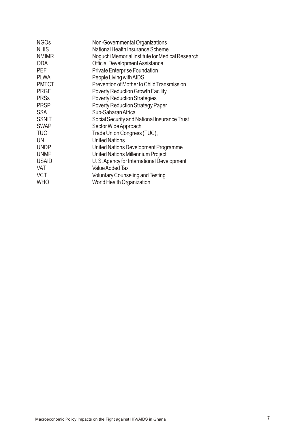| Noguchi Memorial Institute for Medical Research |
|-------------------------------------------------|
|                                                 |
|                                                 |
|                                                 |
| Prevention of Mother to Child Transmission      |
|                                                 |
|                                                 |
|                                                 |
|                                                 |
| Social Security and National Insurance Trust    |
|                                                 |
|                                                 |
|                                                 |
|                                                 |
|                                                 |
| U.S. Agency for International Development       |
|                                                 |
|                                                 |
|                                                 |
|                                                 |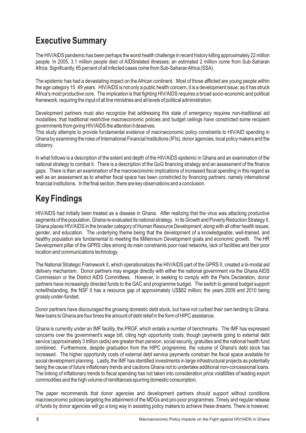### **Executive Summary**

The HIV/AIDS pandemic has been perhaps the worst health challenge in recent history killing approximately 22 million people. In 2005, 3.1 million people died of AIDSrelated illnesses; an estimated 2 million come from Sub-Saharan Africa. Significantly, 65 percent of all infected cases come from Sub-Saharan Africa (SSA).

The epidemic has had a devastating impact on the African continent. Most of those afflicted are young people within the age category 15 49 years. HIV/AIDS is not only a public health concern, it is a development issue; as it has struck Africa's most productive core. The implication is that fighting HIV/AIDS requires a broad socio-economic and political framework, requiring the input of all line ministries and all levels of political administration.

Development partners must also recognize that addressing this state of emergency requires non-traditional aid modalities; that traditional restrictive macroeconomic policies and budget ceilings have constricted some recipient governments from giving HIV/AIDS the attention it deserves.

This study attempts to provide fundamental evidence of macroeconomic policy constraints to HIV/AID spending in Ghana by examining the roles of International Financial Institutions (IFIs), donor agencies, local policy makers and the citizenry.

In what follows is a description of the extent and depth of the HIV/AIDS epidemic in Ghana and an examination of the national strategy to combat it. There is a description of the GoG financing strategy and an assessment of the finance gaps. There is then an examination of the macroeconomic implications of increased fiscal spending in this regard as well as an assessment as to whether fiscal space has been constricted by financing partners, namely international financial institutions. In the final section, there are key observations and a conclusion.

# **Key Findings**

HIV/AIDS had initially been treated as a disease in Ghana. After realizing that the virus was attacking productive segments of the population, Ghana re-evaluated its national strategy. In its Growth and Poverty Reduction Strategy II, Ghana places HIV/AIDS in the broader category of Human Resource Development; along with all other health issues, gender, and education. The underlying theme being that the development of a knowledgeable, well-trained, and healthy population are fundamental to meeting the Millennium Development goals and economic growth. The HR Development pillar of the GPRS cites among its main constraints poor road networks, lack of facilities and their poor location and communications technology.

The National Strategic Framework II, which operationalizes the HIV/AIDS part of the GPRS II, created a bi-modal aid delivery mechanism. Donor partners may engage directly with either the national government via the Ghana AIDS Commission or the District AIDS Committees. However, in seeking to comply with the Paris Declaration, donor partners have increasingly directed funds to the GAC and programme budget. The switch to general budget support notwithstanding, the NSF II has a resource gap of approximately US\$82 million; the years 2009 and 2010 being grossly under-funded.

Donor partners have discouraged the growing domestic debt stock, but have not curbed their own lending to Ghana. New loans to Ghana are four times the amount of debt relief in the form of HIPC assistance.

Ghana is currently under an IMF facility, the PRGF, which entails a number of benchmarks. The IMF has expressed concerns over the government's wage bill, citing high opportunity costs; though payments going to external debt service (approximately 3 trillion cedis) are greater than pension, social security, gratuities and the national health fund combined. Furthermore, despite graduation from the HIPC programme, the volume of Ghana's debt stock has increased. The higher opportunity costs of external debt service payments constrain the fiscal space available for social development planning. Lastly, the IMF has identified investments in large infrastructural projects as potentially being the cause of future inflationary trends and cautions Ghana not to undertake additional non-concessional loans. The linking of inflationary trends to fiscal spending has not taken into consideration price volatilities of leading export commodities and the high volume of remittances spurring domestic consumption.

The paper recommends that donor agencies and development partners should support without conditions macroeconomic policies targeting the attainment of the MDGs and pro-poor programmes. Timely and regular release of funds by donor agencies will go a long way in assisting policy makers to achieve these dreams. There is however,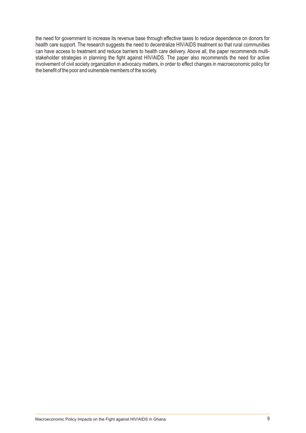the need for government to increase its revenue base through effective taxes to reduce dependence on donors for health care support. The research suggests the need to decentralize HIV/AIDS treatment so that rural communities can have access to treatment and reduce barriers to health care delivery. Above all, the paper recommends multistakeholder strategies in planning the fight against HIV/AIDS. The paper also recommends the need for active involvement of civil society organization in advocacy matters, in order to effect changes in macroeconomic policy for the benefit of the poor and vulnerable members of the society.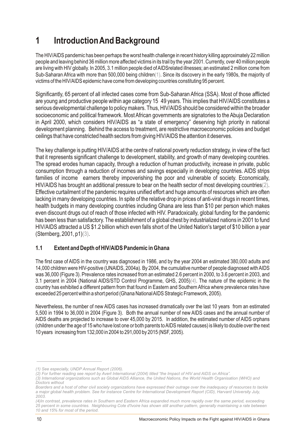# **1 Introduction And Background**

The HIV/AIDS pandemic has been perhaps the worst health challenge in recent history killing approximately 22 million people and leaving behind 36 million more affected victims in its trail by the year 2001. Currently, over 40 million people are living with HIV globally. In 2005, 3.1 million people died of AIDSrelated illnesses; an estimated 2 million come from Sub-Saharan Africa with more than 500,000 being children $(1)$ . Since its discovery in the early 1980s, the majority of victims of the HIV/AIDS epidemic have come from developing countries constituting 95 percent.

Significantly, 65 percent of all infected cases come from Sub-Saharan Africa (SSA). Most of those afflicted are young and productive people within age category 15 49 years. This implies that HIV/AIDS constitutes a serious developmental challenge to policy makers. Thus, HIV/AIDS should be considered within the broader socioeconomic and political framework. Most African governments are signatories to the Abuja Declaration in April 2000, which considers HIV/AIDS as "a state of emergency" deserving high priority in national development planning. Behind the access to treatment, are restrictive macroeconomic policies and budget ceilings that have constricted health sectors from giving HIV/AIDS the attention it deserves.

The key challenge is putting HIV/AIDS at the centre of national poverty reduction strategy, in view of the fact that it represents significant challenge to development, stability, and growth of many developing countries. The spread erodes human capacity, through a reduction of human productivity, increase in private, public consumption through a reduction of incomes and savings especially in developing countries. AIDS strips families of income earners thereby impoverishing the poor and vulnerable of society. Economically, HIV/AIDS has brought an additional pressure to bear on the health sector of most developing countries $(2)$ . Effective curtailment of the pandemic requires unified effort and huge amounts of resources which are often lacking in many developing countries. In spite of the relative drop in prices of anti-viral drugs in recent times, health budgets in many developing countries including Ghana are less than \$10 per person which makes even discount drugs out of reach of those infected with HIV. Paradoxically, global funding for the pandemic has been less than satisfactory. The establishment of a global chest by industrialized nations in 2001 to fund HIV/AIDS attracted a US \$1.2 billion which even falls short of the United Nation's target of \$10 billion a year (Sternberg, 2001, p1)(3).

#### **1.1 Extent and Depth of HIV/AIDS Pandemic in Ghana**

The first case of AIDS in the country was diagnosed in 1986, and by the year 2004 an estimated 380,000 adults and 14,000 children were HIV-positive (UNAIDS, 2004a). By 2004, the cumulative number of people diagnosed with AIDS was 36,000 (Figure 3). Prevalence rates increased from an estimated 2.6 percent in 2000, to 3.6 percent in 2003, and 3.1 percent in 2004 (National AIDS/STD Control Programme, GHS, 2005)(4). The nature of the epidemic in the country has exhibited a different pattern from that found in Eastern and Southern Africa where prevalence rates have exceeded 25 percent within a short period (Ghana National AIDS Strategic Framework, 2005).

Nevertheless, the number of new AIDS cases has increased dramatically over the last 10 years from an estimated 5,500 in 1994 to 36,000 in 2004 (Figure 3). Both the annual number of new AIDS cases and the annual number of AIDS deaths are projected to increase to over 45,000 by 2015. In addition, the estimated number of AIDS orphans (children under the age of 15 who have lost one or both parents to AIDS related causes) is likely to double over the next 10 years increasing from 132,000 in 2004 to 291,000 by 2015 (NSF, 2005).

*<sup>(1)</sup> See especially, UNDP Annual Report (2006).* 

*<sup>(2)</sup> For further reading see report by Avert International (2004) titled "the Impact of HIV and AIDS on Africa".*

*<sup>(3)</sup> International organizations such as Global AIDS Alliance, the United Nations, the World Health Organisation (WHO) and Doctors without* 

*Boarders and a host of other civil society organizations have expressed their outrage over the inadequacy of resources to tackle a major global health problem. See for instance Centre for International Development Report (CID), Harvard University July, 2003.*

*<sup>(4)</sup>In contrast, prevalence rates in Southern and Eastern Africa expanded much more rapidly over the same period, exceeding 25 percent in some countries. Neighbouring Cote d'Ivoire has shown still another pattern, generally maintaining a rate between 10 and 15% for most of the period.*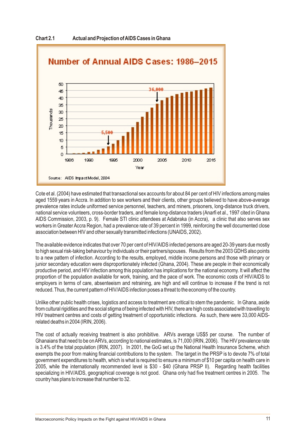

**Chart 2.1 Actual and Projection of AIDS Cases in Ghana**

Cote et al. (2004) have estimated that transactional sex accounts for about 84 per cent of HIV infections among males aged 1559 years in Accra. In addition to sex workers and their clients, other groups believed to have above-average prevalence rates include uniformed service personnel, teachers, and miners, prisoners, long-distance truck drivers, national service volunteers, cross-border traders, and female long-distance traders (Anarfi et al., 1997 cited in Ghana AIDS Commission, 2003, p. 9). Female STI clinic attendees at Adabraka (in Accra), a clinic that also serves sex workers in Greater Accra Region, had a prevalence rate of 39 percent in 1999, reinforcing the well documented close association between HIV and other sexually transmitted infections (UNAIDS, 2002).

The available evidence indicates that over 70 per cent of HIV/AIDS infected persons are aged 20-39 years due mostly to high sexual risk-taking behaviour by individuals or their partners/spouses. Results from the 2003 GDHS also points to a new pattern of infection. According to the results, employed, middle income persons and those with primary or junior secondary education were disproportionately infected (Ghana, 2004). These are people in their economically productive period, and HIV infection among this population has implications for the national economy. It will affect the proportion of the population available for work, training, and the pace of work. The economic costs of HIV/AIDS to employers in terms of care, absenteeism and retraining, are high and will continue to increase if the trend is not reduced. Thus, the current pattern of HIV/AIDS infection poses a threat to the economy of the country.

Unlike other public health crises, logistics and access to treatment are critical to stem the pandemic. In Ghana, aside from cultural rigidities and the social stigma of being infected with HIV, there are high costs associated with travelling to HIV treatment centres and costs of getting treatment of opportunistic infections. As such, there were 33,000 AIDSrelated deaths in 2004 (IRIN, 2006).

The cost of actually receiving treatment is also prohibitive. ARVs average US\$5 per course. The number of Ghanaians that need to be on ARVs, according to national estimates, is 71,000 (IRIN, 2006). The HIV prevalence rate is 3.4% of the total population (IRIN, 2007). In 2001, the GoG set up the National Health Insurance Scheme, which exempts the poor from making financial contributions to the system. The target in the PRSP is to devote 7% of total government expenditures to health, which is what is required to ensure a minimum of \$10 per capita on health care in 2005, while the internationally recommended level is \$30 - \$40 (Ghana PRSP II). Regarding health facilities specializing in HIV/AIDS, geographical coverage is not good. Ghana only had five treatment centres in 2005. The country has plans to increase that number to 32.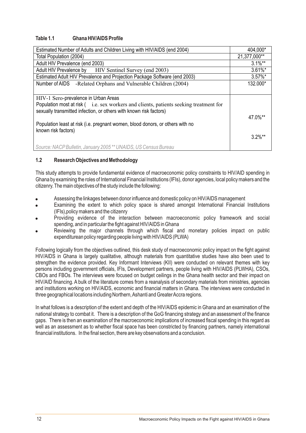#### **Table 1.1 Ghana HIV/AIDS Profile**

| Estimated Number of Adults and Children Living with HIV/AIDS (end 2004)               | 404,000*              |
|---------------------------------------------------------------------------------------|-----------------------|
| Total Population (2004)                                                               | 21,377,000**          |
| Adult HIV Prevalence (end 2003)                                                       | $3.1\%$ **            |
| Adult HIV Prevalence by HIV Sentinel Survey (end 2003)                                | $3.61\%$ *            |
| Estimated Adult HIV Prevalence and Projection Package Software (end 2003)             | $3.57\%$ *            |
| Number of AIDS -Related Orphans and Vulnerable Children (2004)                        | 132.000*              |
|                                                                                       |                       |
| HIV-1 Sero-prevalence in Urban Areas                                                  |                       |
| Population most at risk (i.e. sex workers and clients, patients seeking treatment for |                       |
| sexually transmitted infection, or others with known risk factors)                    |                       |
|                                                                                       | 47.0%**               |
| Population least at risk (i.e. pregnant women, blood donors, or others with no        |                       |
| known risk factors)                                                                   |                       |
|                                                                                       | $3.2\%$ <sup>**</sup> |
| Source: NACP Bulletin, January 2005 ** UNAIDS, US Census Bureau                       |                       |

#### **1.2 Research Objectives and Methodology**

This study attempts to provide fundamental evidence of macroeconomic policy constraints to HIV/AID spending in Ghana by examining the roles of International Financial Institutions (IFIs), donor agencies, local policy makers and the citizenry. The main objectives of the study include the following:

- Assessing the linkages between donor influence and domestic policy on HIV/AIDS management
- Examining the extent to which policy space is shared amongst International Financial Institutions (IFIs),policy makers and the citizenry
- Providing evidence of the interaction between macroeconomic policy framework and social spending, and in particular the fight against HIV/AIDS in Ghana
- Reviewing the major channels through which fiscal and monetary policies impact on public expenditurean policy regarding people living with HIV/AIDS (PLWA)

Following logically from the objectives outlined, this desk study of macroeconomic policy impact on the fight against HIV/AIDS in Ghana is largely qualitative, although materials from quantitative studies have also been used to strengthen the evidence provided. Key Informant Interviews (KII) were conducted on relevant themes with key persons including government officials, IFIs, Development partners, people living with HIV/AIDS (PLWHA), CSOs, CBOs and FBOs. The interviews were focused on budget ceilings in the Ghana health sector and their impact on HIV/AID financing. A bulk of the literature comes from a reanalysis of secondary materials from ministries, agencies and institutions working on HIV/AIDS, economic and financial matters in Ghana. The interviews were conducted in three geographical locations including Northern, Ashanti and Greater Accra regions.

In what follows is a description of the extent and depth of the HIV/AIDS epidemic in Ghana and an examination of the national strategy to combat it. There is a description of the GoG financing strategy and an assessment of the finance gaps. There is then an examination of the macroeconomic implications of increased fiscal spending in this regard as well as an assessment as to whether fiscal space has been constricted by financing partners, namely international financial institutions. In the final section, there are key observations and a conclusion.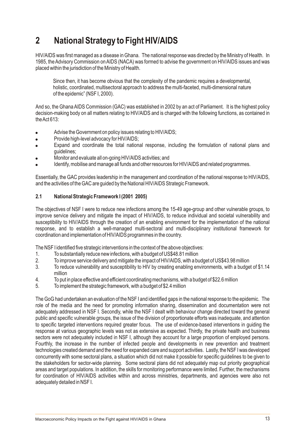# **2 National Strategy to Fight HIV/AIDS**

HIV/AIDS was first managed as a disease in Ghana. The national response was directed by the Ministry of Health. In 1985, the Advisory Commission on AIDS (NACA) was formed to advise the government on HIV/AIDS issues and was placed within the jurisdiction of the Ministry of Health.

Since then, it has become obvious that the complexity of the pandemic requires a developmental, holistic, coordinated, multisectoral approach to address the multi-faceted, multi-dimensional nature of the epidemic" (NSF I, 2000).

And so, the Ghana AIDS Commission (GAC) was established in 2002 by an act of Parliament. It is the highest policy decision-making body on all matters relating to HIV/AIDS and is charged with the following functions, as contained in the Act 613:

- Advise the Government on policy issues relating to HIV/AIDS;
- Provide high-level advocacy for HIV/AIDS;
- Expand and coordinate the total national response, including the formulation of national plans and guidelines;
- Monitor and evaluate all on-going HIV/AIDS activities; and
- Identify, mobilise and manage all funds and other resources for HIV/AIDS and related programmes.

Essentially, the GAC provides leadership in the management and coordination of the national response to HIV/AIDS, and the activities of the GAC are guided by the National HIV/AIDS Strategic Framework.

#### **2.1 National Strategic Framework I (2001 2005)**

The objectives of NSF I were to reduce new infections among the 15-49 age-group and other vulnerable groups, to improve service delivery and mitigate the impact of HIV/AIDS, to reduce individual and societal vulnerability and susceptibility to HIV/AIDS through the creation of an enabling environment for the implementation of the national response, and to establish a well-managed multi-sectoral and multi-disciplinary institutional framework for coordination and implementation of HIV/AIDS programmes in the country.

The NSF I identified five strategic interventions in the context of the above objectives:

- 1. To substantially reduce new infections, with a budget of US\$48.81 million
- 2. To improve service delivery and mitigate the impact of HIV/AIDS, with a budget of US\$43.98 million<br>3. To reduce vulnerability and susceptibility to HIV by creating enabling environments, with a budge
- 3. To reduce vulnerability and susceptibility to HIV by creating enabling environments, with a budget of \$1.14 million
- 4. To put in place effective and efficient coordinating mechanisms, with a budget of \$22.6 million
- 5. To implement the strategic framework, with a budget of \$2.4 million

The GoG had undertaken an evaluation of the NSF I and identified gaps in the national response to the epidemic. The role of the media and the need for promoting information sharing, dissemination and documentation were not adequately addressed in NSF I. Secondly, while the NSF I dealt with behaviour change directed toward the general public and specific vulnerable groups, the issue of the division of proportionate efforts was inadequate, and attention to specific targeted interventions required greater focus. The use of evidence-based interventions in guiding the response at various geographic levels was not as extensive as expected. Thirdly, the private health and business sectors were not adequately included in NSF I, although they account for a large proportion of employed persons. Fourthly, the increase in the number of infected people and developments in new prevention and treatment technologies created demand and the need for expanded care and support activities. Lastly, the NSF I was developed concurrently with some sectoral plans, a situation which did not make it possible for specific guidelines to be given to the stakeholders for sector-wide planning. Some sectoral plans did not adequately map out priority geographical areas and target populations. In addition, the skills for monitoring performance were limited. Further, the mechanisms for coordination of HIV/AIDS activities within and across ministries, departments, and agencies were also not adequately detailed in NSF I.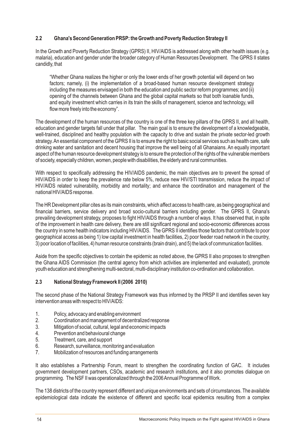#### **2.2 Ghana's Second Generation PRSP: the Growth and Poverty Reduction Strategy II**

In the Growth and Poverty Reduction Strategy (GPRS) II, HIV/AIDS is addressed along with other health issues (e.g. malaria), education and gender under the broader category of Human Resources Development. The GPRS II states candidly, that

"Whether Ghana realizes the higher or only the lower ends of her growth potential will depend on two factors; namely, (i) the implementation of a broad-based human resource development strategy including the measures envisaged in both the education and public sector reform programmes; and (ii) opening of the channels between Ghana and the global capital markets so that both loanable funds, and equity investment which carries in its train the skills of management, science and technology, will flow more freely into the economy".

The development of the human resources of the country is one of the three key pillars of the GPRS II, and all health, education and gender targets fall under that pillar. The main goal is to ensure the development of a knowledgeable, well-trained, disciplined and healthy population with the capacity to drive and sustain the private sector-led growth strategy. An essential component of the GPRS II is to ensure the right to basic social services such as health care, safe drinking water and sanitation and decent housing that improve the well being of all Ghanaians. An equally important aspect of the human resource development strategy is to ensure the protection of the rights of the vulnerable members of society, especially children, women, people with disabilities, the elderly and rural communities.

With respect to specifically addressing the HIV/AIDS pandemic, the main objectives are to prevent the spread of HIV/AIDS in order to keep the prevalence rate below 5%, reduce new HIV/STI transmission, reduce the impact of HIV/AIDS related vulnerability, morbidity and mortality; and enhance the coordination and management of the national HIV/AIDS response.

The HR Development pillar cites as its main constraints, which affect access to health care, as being geographical and financial barriers, service delivery and broad socio-cultural barriers including gender. The GPRS II, Ghana's prevailing development strategy, proposes to fight HIV/AIDS through a number of ways. It has observed that, in spite of the improvement in health care delivery, there are still significant regional and socio-economic differences across the country in some health indicators including HIV/AIDS. The GPRS II identifies those factors that contribute to poor geographical access as being 1) low capital investment in health facilities, 2) poor feeder road network in the country, 3) poor location of facilities, 4) human resource constraints (brain drain), and 5) the lack of communication facilities.

Aside from the specific objectives to contain the epidemic as noted above, the GPRS II also proposes to strengthen the Ghana AIDS Commission (the central agency from which activities are implemented and evaluated), promote youth education and strengthening multi-sectoral, multi-disciplinary institution co-ordination and collaboration.

#### **2.3 National Strategy Framework II (2006 2010)**

The second phase of the National Strategy Framework was thus informed by the PRSP II and identifies seven key intervention areas with respect to HIV/AIDS:

- 1. Policy, advocacy and enabling environment
- 2. Coordination and management of decentralized response
- 3. Mitigation of social, cultural, legal and economic impacts
- 4. Prevention and behavioural change
- 5. Treatment, care, and support
- 6. Research, surveillance, monitoring and evaluation
- 7. Mobilization of resources and funding arrangements

It also establishes a Partnership Forum, meant to strengthen the coordinating function of GAC. It includes government development partners, CSOs, academic and research institutions, and it also promotes dialogue on programming. The NSF II was operationalized through the 2006 Annual Programme of Work.

The 138 districts of the country represent different and unique environments and sets of circumstances. The available epidemiological data indicate the existence of different and specific local epidemics resulting from a complex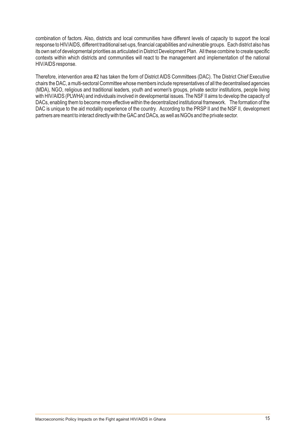combination of factors. Also, districts and local communities have different levels of capacity to support the local response to HIV/AIDS, different traditional set-ups, financial capabilities and vulnerable groups. Each district also has its own set of developmental priorities as articulated in District Development Plan. All these combine to create specific contexts within which districts and communities will react to the management and implementation of the national HIV/AIDS response.

Therefore, intervention area #2 has taken the form of District AIDS Committees (DAC). The District Chief Executive chairs the DAC, a multi-sectoral Committee whose members include representatives of all the decentralised agencies (MDA), NGO, religious and traditional leaders, youth and women's groups, private sector institutions, people living with HIV/AIDS (PLWHA) and individuals involved in developmental issues. The NSF II aims to develop the capacity of DACs, enabling them to become more effective within the decentralized institutional framework. The formation of the DAC is unique to the aid modality experience of the country. According to the PRSP II and the NSF II, development partners are meant to interact directly with the GAC and DACs, as well as NGOs and the private sector.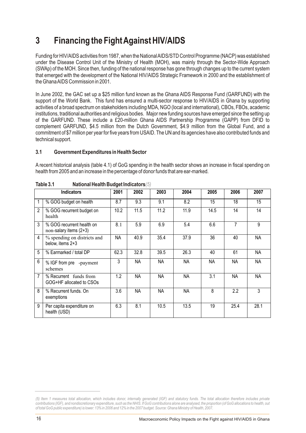# **3 Financing the Fight Against HIV/AIDS**

Funding for HIV/AIDS activities from 1987, when the National AIDS/STD Control Programme (NACP) was established under the Disease Control Unit of the Ministry of Health (MOH), was mainly through the Sector-Wide Approach (SWAp) of the MOH. Since then, funding of the national response has gone through changes up to the current system that emerged with the development of the National HIV/AIDS Strategic Framework in 2000 and the establishment of the Ghana AIDS Commission in 2001.

In June 2002, the GAC set up a \$25 million fund known as the Ghana AIDS Response Fund (GARFUND) with the support of the World Bank. This fund has ensured a multi-sector response to HIV/AIDS in Ghana by supporting activities of a broad spectrum on stakeholders including MDA, NGO (local and international), CBOs, FBOs, academic institutions, traditional authorities and religious bodies. Major new funding sources have emerged since the setting up of the GARFUND. These include a £20-million Ghana AIDS Partnership Programme (GAPP) from DFID to complement GARFUND, \$4.5 million from the Dutch Government, \$4.9 million from the Global Fund, and a commitment of \$7 million per year for five years from USAID. The UN and its agencies have also contributed funds and technical support.

#### **3.1 Government Expenditures in Health Sector**

A recent historical analysis (table 4.1) of GoG spending in the health sector shows an increase in fiscal spending on health from 2005 and an increase in the percentage of donor funds that are ear-marked.

|                | <b>Indicators</b>                                   | 2001      | 2002      | 2003      | 2004 | 2005 | 2006           | 2007      |
|----------------|-----------------------------------------------------|-----------|-----------|-----------|------|------|----------------|-----------|
|                | % GOG budget on health                              | 8.7       | 9.3       | 9.1       | 8.2  | 15   | 18             | 15        |
| $\overline{2}$ | % GOG recurrent budget on<br>health                 | 10.2      | 11.5      | 11.2      | 11.9 | 14.5 | 14             | 14        |
| 3              | % GOG recurrent health on<br>non-salary items (2+3) | 8.1       | 5.9       | 6.9       | 5.4  | 6.6  | $\overline{7}$ | 9         |
| 4              | % spending on districts and<br>below, items 2+3     | <b>NA</b> | 40.9      | 35.4      | 37.9 | 36   | 40             | <b>NA</b> |
| 5              | % Earmarked / total DP                              | 62.3      | 32.8      | 39.5      | 26.3 | 40   | 61             | <b>NA</b> |
| 6              | % IGF from pre -payment<br>schemes                  | 3         | NА        | <b>NA</b> | ΝA   | NA   | NА             | <b>NA</b> |
| 7              | % Recurrent funds from<br>GOG+HF allocated to CSOs  | 1.2       | <b>NA</b> | NA        | ΝA   | 3.1  | <b>NA</b>      | <b>NA</b> |
| 8              | % Recurrent funds, On<br>exemptions                 | 3.6       | NА        | NA        | ΝA   | 8    | 2.2            | 3         |
| 9              | Per capita expenditure on<br>health (USD)           | 6.3       | 8.1       | 10.5      | 13.5 | 19   | 25.4           | 28.1      |

**Table 3.1 National Health Budget Indicators***(5)*

*<sup>(5)</sup> Item 1 measures total allocation, which includes donor, internally generated (IGF) and statutory funds. The total allocation therefore includes private contributions (IGF), and nondiscretionary expenditure, such as the NHIS. If GoG contributions alone are analysed, the proportion (of GoG allocations to health, out of total GoG public expenditure) is lower: 13% in 2006 and 12% in the 2007 budget. Source: Ghana Ministry of Health, 2007.*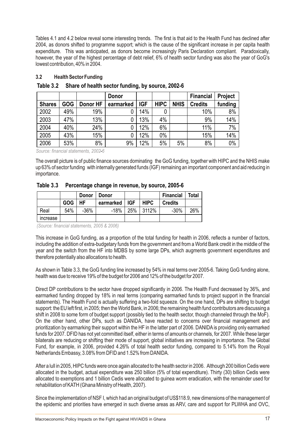Tables 4.1 and 4.2 below reveal some interesting trends. The first is that aid to the Health Fund has declined after 2004, as donors shifted to programme support; which is the cause of the significant increase in per capita health expenditure. This was anticipated, as donors become increasingly Paris Declaration compliant. Paradoxically, however, the year of the highest percentage of debt relief, 6% of health sector funding was also the year of GoG's lowest contribution, 40% in 2004.

#### **3.2 Health Sector Funding**

|               |            |          | <b>Donor</b> |            |             |             | <b>Financial</b> | <b>Project</b> |
|---------------|------------|----------|--------------|------------|-------------|-------------|------------------|----------------|
| <b>Shares</b> | <b>GOG</b> | Donor HF | earmarked    | <b>IGF</b> | <b>HIPC</b> | <b>NHIS</b> | <b>Credits</b>   | funding        |
| 2002          | 49%        | 19%      |              | 14%        | 0           |             | 10%              | 8%             |
| 2003          | 47%        | 13%      |              | 13%        | 4%          |             | 9%               | 14%            |
| 2004          | 40%        | 24%      |              | 12%        | 6%          |             | 11%              | 7%             |
| 2005          | 43%        | 15%      |              | 12%        | 0%          |             | 15%              | 14%            |
| 2006          | 53%        | 8%       | 9%           | 12%        | 5%          | 5%          | 8%               | $0\%$          |

#### **Table 3.2 Share of health sector funding, by source, 2002-6**

*Source: financial statements, 2002*-*6* 

The overall picture is of public finance sources dominating the GoG funding, together with HIPC and the NHIS make up 63% of sector funding with internally generated funds (IGF) remaining an important component and aid reducing in importance.

#### **Table 3.3 Percentage change in revenue, by source, 2005-6**

|                 |            | <b>Donor</b> | <b>Donor</b> |            |             | <b>Financial</b> | Total |
|-----------------|------------|--------------|--------------|------------|-------------|------------------|-------|
|                 | <b>GOG</b> | HF           | earmarked    | <b>IGF</b> | <b>HIPC</b> | <b>Credits</b>   |       |
| Real            | 54%        | $-36%$       | $-18%$       | <b>25%</b> | 3112%       | $-30%$           | 26%   |
| <b>Increase</b> |            |              |              |            |             |                  |       |

*(Source: financial statements, 2005 & 2006)* 

This increase in GoG funding, as a proportion of the total funding for health in 2006, reflects a number of factors, including the addition of extra-budgetary funds from the government and from a World Bank credit in the middle of the year and the switch from the HF into MDBS by some large DPs, which augments government expenditures and therefore potentially also allocations to health.

As shown in Table 3.3, the GoG funding line increased by 54% in real terms over 2005-6. Taking GoG funding alone, health was due to receive 19% of the budget for 2006 and 12% of the budget for 2007.

Direct DP contributions to the sector have dropped significantly in 2006. The Health Fund decreased by 36%, and earmarked funding dropped by 18% in real terms (comparing earmarked funds to project support in the financial statements). The Health Fund is actually suffering a two-fold squeeze. On the one hand, DPs are shifting to budget support: the EU left first, in 2005; then the World Bank, in 2006; the remaining health fund contributors are discussing a shift in 2008 to some form of budget support (possibly tied to the health sector, though channeled through the MoF). On the other hand, other DPs, such as DANIDA, have reacted to concerns over financial management and prioritization by earmarking their support within the HF in the latter part of 2006. DANIDAis providing only earmarked funds for 2007. DFID has not yet committed itself, either in terms of amounts or channels, for 2007. While these larger bilaterals are reducing or shifting their mode of support, global initiatives are increasing in importance. The Global Fund, for example, in 2006, provided 4.26% of total health sector funding, compared to 5.14% from the Royal Netherlands Embassy, 3.08% from DFID and 1.52% from DANIDA.

After a lull in 2005, HIPC funds were once again allocated to the health sector in 2006. Although 200 billion Cedis were allocated in the budget, actual expenditure was 250 billion (5% of total expenditure). Thirty (30) billion Cedis were allocated to exemptions and 1 billion Cedis were allocated to guinea worm eradication, with the remainder used for rehabilitation of KATH (Ghana Ministry of Health, 2007).

Since the implementation of NSF I, which had an original budget of US\$118.9, new dimensions of the management of the epidemic and priorities have emerged in such diverse areas as ARV, care and support for PLWHA and OVC,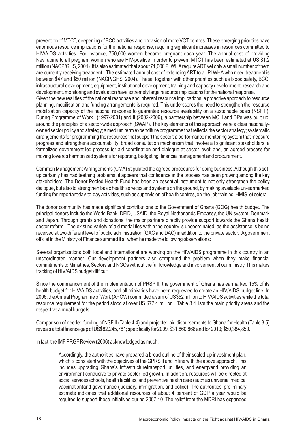prevention of MTCT, deepening of BCC activities and provision of more VCT centres. These emerging priorities have enormous resource implications for the national response, requiring significant increases in resources committed to HIV/AIDS activities. For instance, 750,000 women become pregnant each year. The annual cost of providing Nevirapine to all pregnant women who are HIV-positive in order to prevent MTCT has been estimated at US \$1.2 million (NACP/GHS, 2004). It is also estimated that about 71,000 PLWHArequire ARTyet only a small number of them are currently receiving treatment. The estimated annual cost of extending ART to all PLWHAwho need treatment is between \$47 and \$80 million (NACP/GHS, 2004). These, together with other priorities such as blood safety, BCC, infrastructural development, equipment, institutional development, training and capacity development, research and development, monitoring and evaluation have extremely large resource implications for the national response. Given the new realities of the national response and inherent resource implications, a proactive approach to resource planning, mobilisation and funding arrangements is required. This underscores the need to strengthen the resource mobilisation capacity of the national response to guarantee resource availability on a sustainable basis (NSF II). During Programme of Work I (1997-2001) and II (2002-2006), a partnership between MOH and DPs was built up, around the principles of a sector-wide approach (SWAP). The key elements of this approach were a clear nationallyowned sector policy and strategy; a medium term expenditure programme that reflects the sector strategy; systematic arrangements for programming the resources that support the sector; a performance monitoring system that measure progress and strengthens accountability; broad consultation mechanism that involve all significant stakeholders; a formalized government-led process for aid-coordination and dialogue at sector level; and, an agreed process for moving towards harmonized systems for reporting, budgeting, financial management and procurement.

Common Management Arrangements (CMA) stipulated the agreed procedures for doing business. Although this setup certainly has had teething problems, it appears that confidence in the process has been growing among the key stakeholders. The Donor Pooled Health Fund has been an essential instrument to not only strengthen the policy dialogue, but also to strengthen basic health services and systems on the ground, by making available un-earmarked funding for important day-to-day activities, such as supervision of health centres, on-the-job training, HMIS, et cetera.

The donor community has made significant contributions to the Government of Ghana (GOG) health budget. The principal donors include the World Bank, DFID, USAID, the Royal Netherlands Embassy, the UN system, Denmark and Japan. Through grants and donations, the major partners directly provide support towards the Ghana health sector reform. The existing variety of aid modalities within the country is uncoordinated, as the assistance is being received at two different level of public administration (GAC and DAC) in addition to the private sector. Agovernment official in the Ministry of Finance summed it all when he made the following observations:

Several organizations both local and international are working on the HIV/AIDS programme in this country in an uncoordinated manner. Our development partners also compound the problem when they make financial commitments to Ministries, Sectors and NGOs without the full knowledge and involvement of our ministry. This makes tracking of HIV/AIDS budget difficult.

Since the commencement of the implementation of PRSP II, the government of Ghana has earmarked 15% of its health budget for HIV/AIDS activities, and all ministries have been requested to create an HIV/AIDS budget line. In 2006, the Annual Programme of Work (APOW) committed a sum of US\$52 million to HIV/AIDS activities while the total resource requirement for the period stood at over US \$77.4 million. Table 3.4 lists the main priority areas and the respective annual budgets.

Comparison of needed funding of NSF II (Table 4.4) and projected aid disbursements to Ghana for Health (Table 3.5) reveals a total finance gap of US\$82,245,781; specifically for 2009, \$31,860,868 and for 2010; \$50,384,850.

In fact, the IMF PRGF Review (2006) acknowledged as much.

Accordingly, the authorities have prepared a broad outline of their scaled-up investment plan, which is consistent with the objectives of the GPRS II and in line with the above approach. This includes upgrading Ghana's infrastructuretransport, utilities, and energyand providing an environment conducive to private sector-led growth. In addition, resources will be directed at social servicesschools, health facilities, and preventive health care (such as universal medical vaccination)and governance (judiciary, immigration, and police). The authorities' preliminary estimate indicates that additional resources of about 4 percent of GDP a year would be required to support these initiatives during 2007-10. The relief from the MDRI has expanded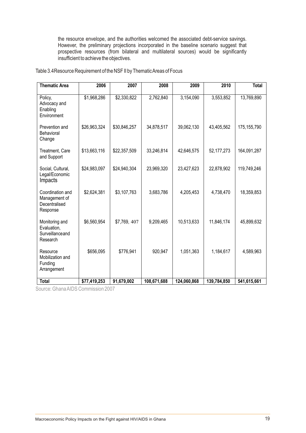the resource envelope, and the authorities welcomed the associated debt-service savings. However, the preliminary projections incorporated in the baseline scenario suggest that prospective resources (from bilateral and multilateral sources) would be significantly insufficient to achieve the objectives.

Table 3.4Resource Requirement of the NSF II by Thematic Areas of Focus

| <b>Thematic Area</b>                                           | 2006         | 2007         | 2008        | 2009        | 2010         | <b>Total</b> |
|----------------------------------------------------------------|--------------|--------------|-------------|-------------|--------------|--------------|
| Policy,<br>Advocacy and<br>Enabling<br>Environment             | \$1,968,286  | \$2,330,822  | 2,762,840   | 3,154,090   | 3,553,852    | 13,769,890   |
| Prevention and<br>Behavioral<br>Change                         | \$26,963,324 | \$30,846,257 | 34,878,517  | 39,062,130  | 43,405,562   | 175,155,790  |
| Treatment, Care<br>and Support                                 | \$13,663,116 | \$22,357,509 | 33,246,814  | 42,646,575  | 52, 177, 273 | 164,091,287  |
| Social, Cultural,<br>Legal/Economic<br>Impacts                 | \$24,983,097 | \$24,940,304 | 23,969,320  | 23,427,623  | 22,878,902   | 119,749,246  |
| Coordination and<br>Management of<br>Decentralised<br>Response | \$2,624,381  | \$3,107,763  | 3,683,786   | 4,205,453   | 4,738,470    | 18,359,853   |
| Monitoring and<br>Evaluation,<br>Surveillanceand<br>Research   | \$6,560,954  | \$7,769, 407 | 9,209,465   | 10,513,633  | 11,846,174   | 45,899,632   |
| Resource<br>Mobilization and<br>Funding<br>Arrangement         | \$656,095    | \$776,941    | 920,947     | 1,051,363   | 1,184,617    | 4,589,963    |
| <b>Total</b>                                                   | \$77,419,253 | 91,679,002   | 108,671,688 | 124,060,868 | 139,784,850  | 541,615,661  |

Source: Ghana AIDS Commission 2007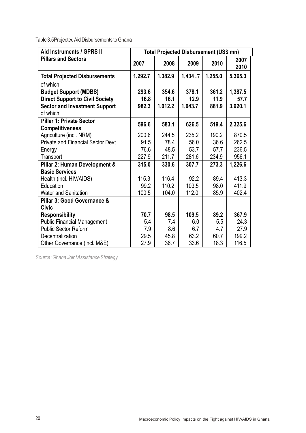Table 3.5Projected Aid Disbursements to Ghana

| Aid Instruments / GPRS II                | Total Projected Disbursement (US\$ mn) |         |         |         |              |  |  |  |
|------------------------------------------|----------------------------------------|---------|---------|---------|--------------|--|--|--|
| <b>Pillars and Sectors</b>               | 2007                                   | 2008    | 2009    | 2010    | 2007<br>2010 |  |  |  |
| <b>Total Projected Disbursements</b>     | 1,292.7                                | 1,382.9 | 1,434.7 | 1,255.0 | 5,365.3      |  |  |  |
| of which:                                |                                        |         |         |         |              |  |  |  |
| <b>Budget Support (MDBS)</b>             | 293.6                                  | 354.6   | 378.1   | 361.2   | 1,387.5      |  |  |  |
| <b>Direct Support to Civil Society</b>   | 16.8                                   | 16.1    | 12.9    | 11.9    | 57.7         |  |  |  |
| <b>Sector and Investment Support</b>     | 982.3                                  | 1,012.2 | 1,043.7 | 881.9   | 3,920.1      |  |  |  |
| of which:                                |                                        |         |         |         |              |  |  |  |
| <b>Pillar 1: Private Sector</b>          | 596.6                                  | 583.1   | 626.5   | 519.4   | 2,325.6      |  |  |  |
| <b>Competitiveness</b>                   |                                        |         |         |         |              |  |  |  |
| Agriculture (incl. NRM)                  | 200.6                                  | 244.5   | 235.2   | 190.2   | 870.5        |  |  |  |
| <b>Private and Financial Sector Devt</b> | 91.5                                   | 78.4    | 56.0    | 36.6    | 262.5        |  |  |  |
| Energy                                   | 76.6                                   | 48.5    | 53.7    | 57.7    | 236.5        |  |  |  |
| Transport                                | 227.9                                  | 211.7   | 281.6   | 234.9   | 956.1        |  |  |  |
| Pillar 2: Human Development &            | 315.0                                  | 330.6   | 307.7   | 273.3   | 1,226.6      |  |  |  |
| <b>Basic Services</b>                    |                                        |         |         |         |              |  |  |  |
| Health (incl. HIV/AIDS)                  | 115.3                                  | 116.4   | 92.2    | 89.4    | 413.3        |  |  |  |
| Education                                | 99.2                                   | 110.2   | 103.5   | 98.0    | 411.9        |  |  |  |
| <b>Water and Sanitation</b>              | 100.5                                  | 104.0   | 112.0   | 85.9    | 402.4        |  |  |  |
| Pillar 3: Good Governance &              |                                        |         |         |         |              |  |  |  |
| <b>Civic</b>                             |                                        |         |         |         |              |  |  |  |
| <b>Responsibility</b>                    | 70.7                                   | 98.5    | 109.5   | 89.2    | 367.9        |  |  |  |
| <b>Public Financial Management</b>       | 5.4                                    | 7.4     | 6.0     | 5.5     | 24.3         |  |  |  |
| <b>Public Sector Reform</b>              | 7.9                                    | 8.6     | 6.7     | 4.7     | 27.9         |  |  |  |
| Decentralization                         | 29.5                                   | 45.8    | 63.2    | 60.7    | 199.2        |  |  |  |
| Other Governance (incl. M&E)             | 27.9                                   | 36.7    | 33.6    | 18.3    | 116.5        |  |  |  |

*Source: Ghana Joint Assistance Strategy*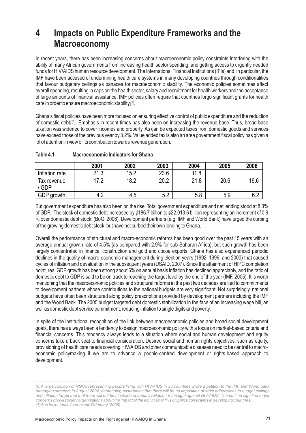### **4 Impacts on Public Expenditure Frameworks and the Macroeconomy**

In recent years, there has been increasing concerns about macroeconomic policy constraints interfering with the ability of many African governments from increasing health sector spending, and getting access to urgently needed funds for HIV/AIDS human resource development. The International Financial Institutions (IFIs) and, in particular, the IMF have been accused of undermining health care systems in many developing countries through conditionalities that favour budgetary ceilings as panacea for macroeconomic stability. The economic policies sometimes affect overall spending, resulting in caps on the health sector, salary and recruitment for health workers and the acceptance of large amounts of financial assistance. IMF policies often require that countries forgo significant grants for health care in order to ensure macroeconomic stability (6)

Ghana's fiscal policies have been more focused on ensuring effective control of public expenditure and the reduction of domestic debt(7). Emphasis in recent times has also been on increasing the revenue base. Thus, broad base taxation was widened to cover incomes and property. As can be expected taxes from domestic goods and services have exceed those of the previous year by 3.2%. Value added tax is also an area government fiscal policy has given a lot of attention in view of its contribution towards revenue generation.

|                           | 2001          | 2002 | 2003 | 2004 | 2005 | 2006 |
|---------------------------|---------------|------|------|------|------|------|
| Inflation rate            | 21.3          | 15.2 | 23.6 | 11.8 |      |      |
| Tax revenue<br><b>GDP</b> | ר ד           | 18.2 | 20.2 | 21.8 | 20.6 | 19.6 |
| GDP growth                | $\sim$<br>4.4 | 4.5  | 5.2  | 5.8  | 5.9  | ◡.∠  |

#### **Table 4.1 Macroeconomic Indicators for Ghana**

But government expenditure has also been on the rise. Total government expenditure and net lending stood at 8.3% of GDP. The stock of domestic debt increased by ¢186.7 billion to ¢22,013.6 billion representing an increment of 0.9 % over domestic debt stock. (BoG, 2006). Development partners (e.g. IMF and World Bank) have urged the curbing of the growing domestic debt stock, but have not curbed their own lending to Ghana.

Overall the performance of structural and macro-economic reforms has been good over the past 15 years with an average annual growth rate of 4.5% (as compared with 2.9% for sub-Saharan Africa), but such growth has been largely concentrated in finance, construction and gold and cocoa exports. Ghana has also experienced periodic declines in the quality of macro-economic management during election years (1992, 1996, and 2000) that caused cycles of inflation and devaluation in the subsequent years (USAID, 2007). Since the attainment of HIPC completion point, real GDP growth has been strong about 6% on annual basis inflation has declined appreciably, and the ratio of domestic debt to GDP is said to be on track to reaching the target level by the end of the year (IMF, 2005). It is worth mentioning that the macroeconomic policies and structural reforms in the past two decades are tied to commitments to development partners whose contributions to the national budgets are very significant. Not surprisingly, national budgets have often been structured along policy prescriptions provided by development partners including the IMF and the World Bank. The 2005 budget targeted debt domestic stabilization in the face of an increasing wage bill, as well as domestic debt service commitment, reducing inflation to single digits and poverty.

In spite of the institutional recognition of the link between macroeconomic policies and broad social development goals, there has always been a tendency to design macroeconomic policy with a focus on market-based criteria and financial concerns. This tendency always leads to a situation where social and human development and equity concerns take a back seat to financial consideration. Desired social and human rights objectives, such as equity, provisioning of health care needs covering HIV/AIDS and other communicable diseases need to be central to macroeconomic policymaking if we are to advance a people-centred development or rights-based approach to development.

*<sup>(6)</sup>A large coalition of NGOs representing people living with HIV/AIDS in 38 countries wrote a petition to the IMF and World bank managing directors in August 2004, demanding assurances that there will be no imposition of strict adherences to budget ceilings and inflation target and that there will not be blockade of funds available for the fight against HIV/AIDS. The petition signified major concerns of civil society organizations about the impact of the activities of IFIs on policy constraints in developing countries. (7)See for instance Azeem and Odamtey (2006).*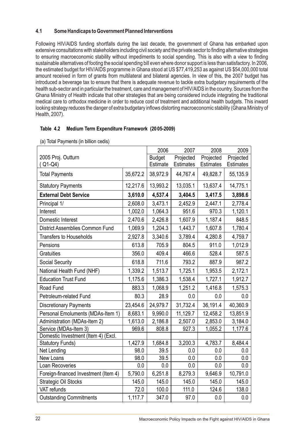#### **4.1 Some Handicaps to Government Planned Interventions**

Following HIV/AIDS funding shortfalls during the last decade, the government of Ghana has embarked upon extensive consultations with stakeholders including civil society and the private sector to finding alternative strategies to ensuring macroeconomic stability without impediments to social spending. This is also with a view to finding sustainable alternatives of footing the social spending bill even where donor support is less than satisfactory. In 2006, the estimated budget for HIV/AIDS programme in Ghana stood at US \$77,419,253 as against US \$54,000,000 total amount received in form of grants from multilateral and bilateral agencies. In view of this, the 2007 budget has introduced a beverage tax to ensure that there is adequate revenue to tackle extra budgetary requirements of the health sub-sector and in particular the treatment, care and management of HIV/AIDS in the country. Sources from the Ghana Ministry of Health indicate that other strategies that are being considered include integrating the traditional medical care to orthodox medicine in order to reduce cost of treatment and additional health budgets. This inward looking strategy reduces the danger of extra budgetary inflows distorting macroeconomic stability (Ghana Ministry of Health, 2007).

#### **Table 4.2 Medium Term Expenditure Framework (20 05-2009)**

|                                        |          | 2006          | 2007             | 2008             | 2009             |
|----------------------------------------|----------|---------------|------------------|------------------|------------------|
| 2005 Proj. Outturn                     |          | <b>Budget</b> | Projected        | Projected        | Projected        |
| $(Q1-Q4)$                              |          | Estimate      | <b>Estimates</b> | <b>Estimates</b> | <b>Estimates</b> |
| <b>Total Payments</b>                  | 35,672.2 | 38,972.9      | 44,767.4         | 49,828.7         | 55,135.9         |
| <b>Statutory Payments</b>              | 12,217.6 | 13,993.2      | 13,035.1         | 13,637.4         | 14,775.1         |
| <b>External Debt Service</b>           | 3,610.0  | 4,537.4       | 3,404.5          | 3,417.5          | 3,898.6          |
| Principal 1/                           | 2,608.0  | 3,473.1       | 2,452.9          | 2,447.1          | 2,778.4          |
| Interest                               | 1,002.0  | 1,064.3       | 951.6            | 970.3            | 1,120.1          |
| Domestic Interest                      | 2,470.6  | 2,426.8       | 1,607.9          | 1,187.4          | 848.5            |
| <b>District Assemblies Common Fund</b> | 1,069.9  | 1,204.3       | 1,443.7          | 1,607.8          | 1,780.4          |
| <b>Transfers to Households</b>         | 2,927.8  | 3,340.6       | 3,789.4          | 4,280.8          | 4,759.7          |
| Pensions                               | 613.8    | 705.9         | 804.5            | 911.0            | 1,012.9          |
| Gratuities                             | 356.0    | 409.4         | 466.6            | 528.4            | 587.5            |
| <b>Social Security</b>                 | 618.8    | 711.6         | 793.2            | 887.9            | 987.2            |
| National Health Fund (NHF)             | 1,339.2  | 1,513.7       | 1,725.1          | 1,953.5          | 2,172.1          |
| <b>Education Trust Fund</b>            | 1,175.6  | 1,386.3       | 1,538.4          | 1,727.1          | 1,912.7          |
| Road Fund                              | 883.3    | 1,068.9       | 1,251.2          | 1,416.8          | 1,575.3          |
| Petroleum-related Fund                 | 80.3     | 28.9          | 0.0              | 0.0              | 0.0              |
| <b>Discretionary Payments</b>          | 23,454.6 | 24,979.7      | 31,732.4         | 36,191.4         | 40,360.9         |
| Personal Emoluments (MDAs-Item 1)      | 8,683.1  | 9,990.0       | 11,129.7         | 12,458.2         | 13,851.9         |
| Administration (MDAs-Item 2)           | 1,613.0  | 2,186.8       | 2,507.0          | 2,853.0          | 3,184.0          |
| Service (MDAs-Item 3)                  | 969.6    | 808.8         | 927.3            | 1,055.2          | 1,177.6          |
| Domestic Investment (Item 4) (Excl.    |          |               |                  |                  |                  |
| <b>Statutory Funds)</b>                | 1,427.9  | 1,684.8       | 3,200.3          | 4,783.7          | 8,484.4          |
| Net Lending                            | 98.0     | 39.5          | 0.0              | 0.0              | 0.0              |
| New Loans                              | 98.0     | 39.5          | 0.0              | 0.0              | 0.0              |
| Loan Recoveries                        | 0.0      | 0.0           | 0.0              | 0.0              | 0.0              |
| Foreign-financed Investment (Item 4)   | 5,790.0  | 6,251.8       | 8,279.3          | 9,646.9          | 10,791.0         |
| <b>Strategic Oil Stocks</b>            | 145.0    | 145.0         | 145.0            | 145.0            | 145.0            |
| VAT refunds                            | 72.0     | 100.0         | 111.0            | 124.6            | 138.0            |
| <b>Outstanding Commitments</b>         | 1,117.7  | 347.0         | 97.0             | 0.0              | 0.0              |

(a) Total Payments (in billion cedis)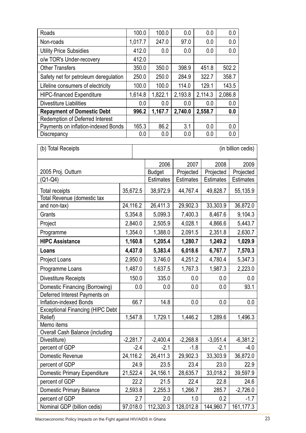| Roads                                  | 100.0   | 100.0   | 0.0     | 0.0     | 0.0     |
|----------------------------------------|---------|---------|---------|---------|---------|
| Non-roads                              | 1,017.7 | 247.0   | 97.0    | 0.0     | 0.0     |
| <b>Utility Price Subsidies</b>         | 412.0   | 0.0     | 0.0     | 0.0     | 0.0     |
| o/w TOR's Under-recovery               | 412.0   |         |         |         |         |
| <b>Other Transfers</b>                 | 350.0   | 350.0   | 398.9   | 451.8   | 502.2   |
| Safety net for petroleum deregulation  | 250.0   | 250.0   | 284.9   | 322.7   | 358.7   |
| Lifeline consumers of electricity      | 100.0   | 100.0   | 114.0   | 129.1   | 143.5   |
| <b>HIPC-financed Expenditure</b>       | 1,614.8 | 1,822.1 | 2,193.8 | 2,114.3 | 2,086.8 |
| <b>Divestiture Liabilities</b>         | 0.0     | 0.0     | 0.0     | 0.0     | 0.0     |
| <b>Repayment of Domestic Debt</b>      | 996.2   | 1,167.7 | 2,740.0 | 2,558.7 | 0.0     |
| <b>Redemption of Deferred Interest</b> |         |         |         |         |         |
| Payments on inflation-indexed Bonds    | 165.3   | 86.2    | 3.1     | 0.0     | 0.0     |
| Discrepancy                            | 0.0     | 0.0     | 0.0     | 0.0     | 0.0     |

| (b) Total Receipts                      | (in billion cedis) |            |                  |                  |            |                  |
|-----------------------------------------|--------------------|------------|------------------|------------------|------------|------------------|
|                                         |                    | 2006       | 2007             | 2008             | 2009       |                  |
| 2005 Proj. Outturn                      |                    |            | <b>Budget</b>    | Projected        | Projected  | Projected        |
| (Q1-Q4)                                 |                    |            | <b>Estimates</b> | <b>Estimates</b> | Estimates  | <b>Estimates</b> |
| <b>Total receipts</b>                   |                    | 35,672.5   | 38,972.9         | 44,767.4         | 49,828.7   | 55,135.9         |
| Total Revenue (domestic tax             |                    |            |                  |                  |            |                  |
| and non-tax)                            | 24,116.2           |            | 26,411.3         | 29,902.3         | 33,303.9   | 36,872.0         |
| Grants                                  |                    | 5,354.8    | 5,099.3          | 7,400.3          | 8,467.6    | 9,104.3          |
| Project                                 |                    | 2,840.0    | 2,505.9          | 4,028.1          | 4,866.6    | 5,443.7          |
| Programme                               |                    | 1,354.0    | 1,388.0          | 2,091.5          | 2,351.8    | 2,630.7          |
| <b>HIPC Assistance</b>                  |                    | 1,160.8    | 1,205.4          | 1,280.7          | 1,249.2    | 1,029.9          |
| Loans                                   |                    | 4,437.0    | 5,383.4          | 6,018.6          | 6,767.7    | 7,570.3          |
| Project Loans                           |                    | 2,950.0    | 3,746.0          | 4,251.2          | 4,780.4    | 5,347.3          |
| Programme Loans                         |                    | 1,487.0    | 1,637.5          | 1,767.3          | 1,987.3    | 2,223.0          |
| <b>Divestiture Receipts</b>             |                    | 150.0      | 335.0            | 0.0              | 0.0        | 0.0              |
| Domestic Financing (Borrowing)          |                    | 0.0        | 0.0              | 0.0              | 0.0        | 93.1             |
| Deferred Interest Payments on           |                    |            |                  |                  |            |                  |
| Inflation-indexed Bonds                 |                    | 66.7       | 14.8             | 0.0              | 0.0        | 0.0              |
| <b>Exceptional Financing (HIPC Debt</b> |                    |            |                  |                  |            |                  |
| Relief)                                 |                    | 1,547.8    | 1,729.1          | 1,446.2          | 1,289.6    | 1,496.3          |
| Memo items                              |                    |            |                  |                  |            |                  |
| <b>Overall Cash Balance (including</b>  |                    |            |                  |                  |            |                  |
| Divestiture)                            |                    | $-2,281.7$ | $-2,400.4$       | $-2,268.8$       | $-3,051.4$ | $-6,381.2$       |
| percent of GDP                          |                    | $-2.4$     | $-2.1$           | $-1.8$           | $-2.1$     | $-4.0$           |
| Domestic Revenue                        | 24,116.2           |            | 26,411.3         | 29,902.3         | 33,303.9   | 36,872.0         |
| percent of GDP                          |                    | 24.9       | 23.5             | 23.4             | 23.0       | 22.9             |
| <b>Domestic Primary Expenditure</b>     | 21,522.4           |            | 24,156.1         | 28,635.7         | 33,018.2   | 39,597.9         |
| percent of GDP                          |                    | 22.2       | 21.5             | 22.4             | 22.8       | 24.6             |
| <b>Domestic Primary Balance</b>         |                    | 2,593.8    | 2,255.3          | 1,266.7          | 285.7      | $-2,726.0$       |
| percent of GDP                          |                    | 2.7        | 2.0              | 1.0              | 0.2        | $-1.7$           |
| Nominal GDP (billion cedis)             | 97,018.0           |            | 112,320.3        | 128,012.8        | 144,960.7  | 161,177.3        |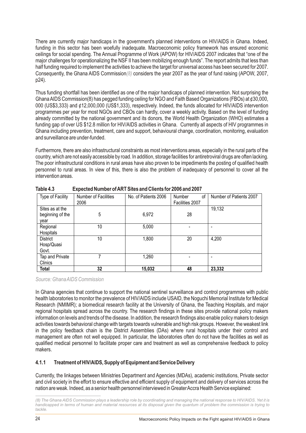There are currently major handicaps in the government's planned interventions on HIV/AIDS in Ghana. Indeed, funding in this sector has been woefully inadequate. Macroeconomic policy framework has ensured economic ceilings for social spending. The Annual Programme of Work (APOW) for HIV/AIDS 2007 indicates that "one of the major challenges for operationalizing the NSF II has been mobilizing enough funds". The report admits that less than half funding required to implement the activities to achieve the target for universal access has been secured for 2007. Consequently, the Ghana AIDS Commission(8) considers the year 2007 as the year of fund raising (APOW, 2007, p24).

Thus funding shortfall has been identified as one of the major handicaps of planned intervention. Not surprising the Ghana AIDS Commission(8) has pegged funding ceiling for NGO and Faith Based Organizations (FBOs) at ¢30,000, 000 (US\$3,333) and ¢12,000,000 (US\$1,333), respectively. Indeed, the funds allocated for HIV/AIDS intervention programmes per year for most NGOs and CBOs can hardly, cover a weekly activity. Based on the level of funding already committed by the national government and its donors, the World Health Organization (WHO) estimates a funding gap of over US \$12.8 million for HIV/AIDS activities in Ghana. Currently all aspects of HIV programmes in Ghana including prevention, treatment, care and support, behavioural change, coordination, monitoring, evaluation and surveillance are under-funded.

Furthermore, there are also infrastructural constraints as most interventions areas, especially in the rural parts of the country, which are not easily accessible by road. In addition, storage facilities for antiretroviral drugs are often lacking. The poor infrastructural conditions in rural areas have also proven to be impediments the posting of qualified health personnel to rural areas. In view of this, there is also the problem of inadequacy of personnel to cover all the intervention areas.

| Type of Facility                            | Number of Facilities<br>2006 | No. of Patients 2006 | Number<br>οf<br>Facilities 2007 | Number of Patients 2007 |
|---------------------------------------------|------------------------------|----------------------|---------------------------------|-------------------------|
| Sites as at the<br>beginning of the<br>vear | 5                            | 6,972                | 28                              | 19,132                  |
| Regional<br>Hospitals                       | 10                           | 5,000                |                                 |                         |
| District<br>Hosp/Quasi<br>Govt.             | 10                           | 1,800                | 20                              | 4,200                   |
| Tap and Private<br>Clinics                  |                              | 1,260                |                                 |                         |
| Total                                       | 32                           | 15,032               | 48                              | 23,332                  |

**Table 4.3 Expected Number of ART Sites and Clients for 2006 and 2007**

*Source: Ghana AIDS Commission*

In Ghana agencies that continue to support the national sentinel surveillance and control programmes with public health laboratories to monitor the prevalence of HIV/AIDS include USAID, the Noguchi Memorial Institute for Medical Research (NMIMR); a biomedical research facility at the University of Ghana, the Teaching Hospitals, and major regional hospitals spread across the country. The research findings in these sites provide national policy makers information on levels and trends of the disease. In addition, the research findings also enable policy makers to design activities towards behavioral change with targets towards vulnerable and high risk groups. However, the weakest link in the policy feedback chain is the District Assemblies (DAs) where rural hospitals under their control and management are often not well equipped. In particular, the laboratories often do not have the facilities as well as qualified medical personnel to facilitate proper care and treatment as well as comprehensive feedback to policy makers.

#### **4.1.1 Treatment of HIV/AIDS, Supply of Equipment and Service Delivery**

Currently, the linkages between Ministries Department and Agencies (MDAs), academic institutions, Private sector and civil society in the effort to ensure effective and efficient supply of equipment and delivery of services across the nation are weak. Indeed, as a senior health personnel interviewed in Greater Accra Health Service explained:

*<sup>(8)</sup> The Ghana AIDS Commission plays a leadership role by coordinating and managing the national response to HIV/AIDS. Yet it is handicapped in terms of human and material resources at its disposal given the quantum of problem the commission is trying to tackle.*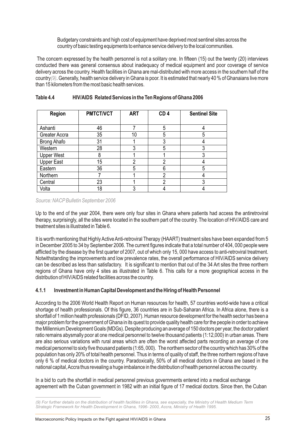Budgetary constraints and high cost of equipment have deprived most sentinel sites across the country of basic testing equipments to enhance service delivery to the local communities.

 The concern expressed by the health personnel is not a solitary one. In fifteen (15) out the twenty (20) interviews conducted there was general consensus about inadequacy of medical equipment and poor coverage of service delivery across the country. Health facilities in Ghana are mal-distributed with more access in the southern half of the country(9). Generally, health service delivery in Ghana is poor. It is estimated that nearly 40 % of Ghanaians live more than 15 kilometers from the most basic health services.

| <b>Region</b>      | <b>PMTCT/VCT</b> | <b>ART</b> | CD <sub>4</sub> | <b>Sentinel Site</b> |
|--------------------|------------------|------------|-----------------|----------------------|
| Ashanti            | 46               |            | 5               |                      |
| Greater Accra      | 35               | 10         | 5               | 5                    |
| <b>Brong Ahafo</b> | 31               |            | 3               |                      |
| Western            | 28               | 3          | 5               | 3                    |
| <b>Upper West</b>  | 8                |            |                 | 3                    |
| <b>Upper East</b>  | 15               | 2          | 2               |                      |
| Eastern            | 36               | 5          | 6               | 5                    |
| Northern           |                  |            | 2               |                      |
| Central            | 23               |            | າ               | 3                    |
| Volta              | 18               | 3          |                 |                      |

#### **Table 4.4 HIV/AIDS Related Services in the Ten Regions of Ghana 2006**

*Source: NACPBulletin September 2006*

Up to the end of the year 2004, there were only four sites in Ghana where patients had access the antiretroviral therapy, surprisingly, all the sites were located in the southern part of the country. The location of HIV/AIDS care and treatment sites is illustrated in Table 6.

It is worth mentioning that Highly Active Anti-retroviral Therapy (HAART) treatment sites have been expanded from 5 in December 2005 to 34 by September 2006. The current figures indicate that a total number of 404, 000 people were afflicted by the disease by the first quarter of 2007, out of which only 15, 000 have access to anti-retroviral treatment. Notwithstanding the improvements and low prevalence rates, the overall performance of HIV/AIDS service delivery can be described as less than satisfactory. It is significant to mention that out of the 34 Art sites the three northern regions of Ghana have only 4 sites as illustrated in Table 6. This calls for a more geographical access in the distribution of HIV/AIDS related facilities across the country.

#### **4.1.1 Investment in Human Capital Development and the Hiring of Health Personnel**

According to the 2006 World Health Report on Human resources for health, 57 countries world-wide have a critical shortage of health professionals. Of this figure, 36 countries are in Sub-Saharan Africa. In Africa alone, there is a shortfall of 1 million health professionals (DFID, 2007). Human resource development for the health sector has been a major problem for the government of Ghana in its quest to provide quality health care for the people in order to achieve the Millennium Development Goals (MDGs). Despite producing an average of 150 doctors per year, the doctor patient ratio remains abysmally poor at one medical personnel to twelve thousand patients (1:12,000) in urban areas. There are also serious variations with rural areas which are often the worst affected parts recording an average of one medical personnel to sixty five thousand patients (1:65, 000). The northern sector of the country which has 30% of the population has only 20% of total health personnel. Thus in terms of quality of staff, the three northern regions of have only 6 % of medical doctors in the country. Paradoxically, 50% of all medical doctors in Ghana are based in the national capital, Accra thus revealing a huge imbalance in the distribution of health personnel across the country.

In a bid to curb the shortfall in medical personnel previous governments entered into a medical exchange agreement with the Cuban government in 1982 with an initial figure of 17 medical doctors. Since then, the Cuban

*<sup>(9)</sup> For further details on the distribution of health facilities in Ghana, see especially, the Ministry of Health Medium Term Strategic Framework for Health Development in Ghana, 1996- 2000, Accra, Ministry of Health 1995.*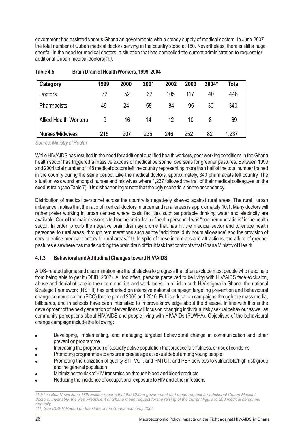government has assisted various Ghanaian governments with a steady supply of medical doctors. In June 2007 the total number of Cuban medical doctors serving in the country stood at 180. Nevertheless, there is still a huge shortfall in the need for medical doctors; a situation that has compelled the current administration to request for additional Cuban medical doctors $(10)$ .

| Category                     | 1999 | 2000 | 2001 | 2002 | 2003 | 2004* | Total |
|------------------------------|------|------|------|------|------|-------|-------|
| <b>Doctors</b>               | 72   | 52   | 62   | 105  | 117  | 40    | 448   |
| <b>Pharmacists</b>           | 49   | 24   | 58   | 84   | 95   | 30    | 340   |
| <b>Allied Health Workers</b> | 9    | 16   | 14   | 12   | 10   | 8     | 69    |
| Nurses/Midwives              | 215  | 207  | 235  | 246  | 252  | 82    | 1,237 |

| Table 4.5 | Brain Drain of Health Workers, 1999 2004 |  |
|-----------|------------------------------------------|--|
|-----------|------------------------------------------|--|

*Source: Ministry of Health*

While HIV/AIDS has resulted in the need for additional qualified health workers, poor working conditions in the Ghana health sector has triggered a massive exodus of medical personnel overseas for greener pastures. Between 1999 and 2004 total number of 448 medical doctors left the country representing more than half of the total number trained in the country during the same period. Like the medical doctors, approximately, 340 pharmacists left country. The situation was worst amongst nurses and midwives where 1,237 followed the trail of their medical colleagues on the exodus train (see Table 7). It is disheartening to note that the ugly scenario is on the ascendancy.

Distribution of medical personnel across the country is negatively skewed against rural areas. The rural urban imbalance implies that the ratio of medical doctors in urban and rural areas is approximately 10:1. Many doctors will rather prefer working in urban centres where basic facilities such as portable drinking water and electricity are available. One of the main reasons cited for the brain drain of health personnel was "poor remunerations" in the health sector. In order to curb the negative brain drain syndrome that has hit the medical sector and to entice health personnel to rural areas, through remunerations such as the "additional duty hours allowance" and the provision of cars to entice medical doctors to rural areas $(11)$ . In spite of these incentives and attractions, the allure of greener pastures elsewhere has made curbing the brain drain difficult task that confronts that Ghana Ministry of Health.

#### **4.1.3 Behavioral and Attitudinal Changes toward HIV/AIDS**

AIDS- related stigma and discrimination are the obstacles to progress that often exclude most people who need help from being able to get it (DFID, 2007). All too often, persons perceived to be living with HIV/AIDS face exclusion, abuse and denial of care in their communities and work laces. In a bid to curb HIV stigma in Ghana, the national Strategic Framework (NSF II) has embarked on intensive national campaign targeting prevention and behavioural change communication (BCC) for the period 2006 and 2010. Public education campaigns through the mass media, billboards, and in schools have been intensified to improve knowledge about the disease. In line with this is the development of the next generation of interventions will focus on changing individual risky sexual behaviour as well as community perceptions about HIV/AIDS and people living with HIV/AIDs (PLWHA). Objectives of the behavioural change campaign include the following:

- Developing, implementing, and managing targeted behavioural change in communication and other prevention programme
- ! Increasing the proportion of sexually active population that practice faithfulness, or use of condoms
- ! Promoting programmes to ensure increase age at sexual debut among young people
- Promoting the utilization of quality STI, VCT, and PMTCT, and PEP services to vulnerable/high risk group and the general population
- ! Minimizing the risk of HIV transmission through blood and blood products
- Reducing the incidence of occupational exposure to HIV and other infections

*(11) See ISSER Report on the state of the Ghana economy 2005.*

*<sup>(10)</sup>The Bua News June 18th Edition reports that the Ghana government had made request for additional Cuban Medical*  doctors. Invariably, the vice Predsident of Ghana made request for the raising of the current figure to 200 medical personnel *annually.*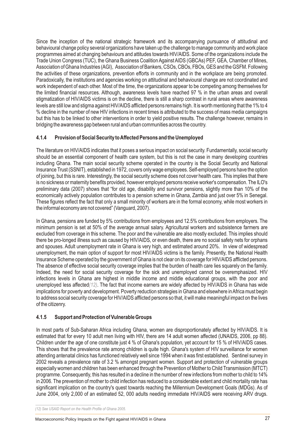Since the inception of the national strategic framework and its accompanying pursuance of attitudinal and behavioural change policy several organizations have taken up the challenge to manage community and work place programmes aimed at changing behaviours and attitudes towards HIV/AIDS. Some of the organizations include the Trade Union Congress (TUC), the Ghana Business Coalition Against AIDS (GBCAs) PEF, GEA, Chamber of Mines, Association of Ghana Industries (AGI), Association of Bankers, CSOs, CBOs, FBOs, GES and the GSFM. Following the activities of these organizations, prevention efforts in community and in the workplace are being promoted. Paradoxically, the institutions and agencies working on attitudinal and behavioural change are not coordinated and work independent of each other. Most of the time, the organizations appear to be competing among themselves for the limited financial resources. Although, awareness levels have reached 97 % in the urban areas and overall stigmatization of HIV/AIDS victims is on the decline, there is still a sharp contrast in rural areas where awareness levels are still low and stigma against HIV/AIDS afflicted persons remains high. It is worth mentioning that the 1% to 4 % decline in the number of new HIV infections in recent times is attributed to the success of mass media campaigns but this has to be linked to other interventions in order to yield positive results. The challenge however, remains in bridging the awareness gap between rural and urban communities across the country.

#### **4.1.4 Provision of Social Security to Affected Persons and the Unemployed**

The literature on HIV/AIDS indicates that it poses a serious impact on social security. Fundamentally, social security should be an essential component of health care system, but this is not the case in many developing countries including Ghana. The main social security scheme operated in the country is the Social Security and National Insurance Trust (SSNIT), established in 1972, covers only wage employees. Self-employed persons have the option of joining, but this is rare. Interestingly, the social security scheme does not cover health care. This implies that there is no sickness or maternity benefits provided, however employed persons receive worker's compensation. The ILO's preliminary data (2007) shows that "for old age, disability and survivor pensions, slightly more than 10% of the economically actively population contributes to a pension scheme in Ghana, Zambia and just over 5% in Senegal. These figures reflect the fact that only a small minority of workers are in the formal economy, while most workers in the informal economy are not covered" (Vanguard, 2007).

In Ghana, pensions are funded by 5% contributions from employees and 12.5% contributions from employers. The minimum pension is set at 50% of the average annual salary. Agricultural workers and subsistence farmers are excluded from coverage in this scheme. The poor and the vulnerable are also mostly excluded. This implies should there be pro-longed illness such as caused by HIV/AIDS, or even death, there are no social safety nets for orphans and spouses. Adult unemployment rate in Ghana is very high, and estimated around 20%. In view of widespread unemployment, the main option of support for most HIV/AIDS victims is the family. Presently, the National Health Insurance Scheme operated by the government of Ghana is not clear on its coverage for HIV/AIDS afflicted persons. The absence of effective social security coverage implies that the burden of health care lies squarely on the family. Indeed, the need for social security coverage for the sick and unemployed cannot be overemphasized. HIV infections levels in Ghana are highest in middle income and middle educational groups, with the poor and unemployed less affected(12). The fact that income earners are widely affected by HIV/AIDS in Ghana has wide implications for poverty and development. Poverty reduction strategies in Ghana and elsewhere in Africa must begin to address social security coverage for HIV/AIDS afflicted persons so that, it will make meaningful impact on the lives of the citizenry.

#### **4.1.5 Support and Protection of Vulnerable Groups**

In most parts of Sub-Saharan Africa including Ghana, women are disproportionately affected by HIV/AIDS. It is estimated that for every 10 adult men living with HIV, there are 14 adult women affected (UNAIDS, 2006, pp 88). Children under the age of one constitute just 4 % of Ghana's population, yet account for 15 % of HIV/AIDS cases. This shows that the prevalence rate among children is quite high. Ghana's system of HIV surveillance for women attending antenatal clinics has functioned relatively well since 1994 when it was first established. Sentinel survey in 2002 reveals a prevalence rate of 3.2 % amongst pregnant women. Support and protection of vulnerable groups especially women and children has been enhanced through the Prevention of Mother to Child Transmission (MTCT) programme. Consequently, this has resulted in a decline in the number of new infections from mother to child to 14% in 2006. The prevention of mother to child infection has reduced to a considerable extent and child mortality rate has significant implication on the country's quest towards reaching the Millennium Development Goals (MDGs). As of June 2004, only 2,000 of an estimated 52, 000 adults needing immediate HIV/AIDS were receiving ARV drugs.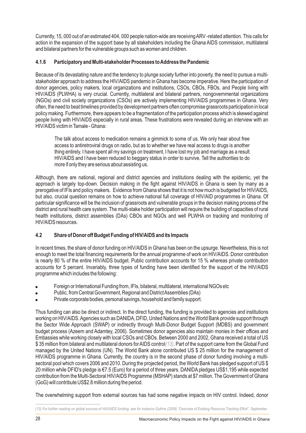Currently, 15, 000 out of an estimated 404, 000 people nation-wide are receiving ARV -related attention. This calls for action in the expansion of the support base by all stakeholders including the Ghana AIDS commission, multilateral and bilateral partners for the vulnerable groups such as women and children.

#### **4.1.6 Participatory and Multi-stakeholder Processes to Address the Pandemic**

Because of its devastating nature and the tendency to plunge society further into poverty, the need to pursue a multistakeholder approach to address the HIV/AIDS pandemic in Ghana has become imperative. Here the participation of donor agencies, policy makers, local organizations and institutions, CSOs, CBOs, FBOs, and People living with HIV/AIDS (PLWHA) is very crucial. Currently, multilateral and bilateral partners, nongovernmental organizations (NGOs) and civil society organizations (CSOs) are actively implementing HIV/AIDS programmes in Ghana. Very often, the need to beat timelines provided by development partners often compromise grassroots participation in local policy making. Furthermore, there appears to be a fragmentation of the participation process which is skewed against people living with HIV/AIDS especially in rural areas. These frustrations were revealed during an interview with an HIV/AIDS victim in Tamale - Ghana:

The talk about access to medication remains a gimmick to some of us. We only hear about free access to antiretroviral drugs on radio, but as to whether we have real access to drugs is another thing entirely. I have spent all my savings on treatment, I have lost my job and marriage as a result HIV/AIDS and I have been reduced to beggary status in order to survive. Tell the authorities to do more if only they are serious about assisting us.

Although, there are national, regional and district agencies and institutions dealing with the epidemic, yet the approach is largely top-down. Decision making in the fight against HIV/AIDS in Ghana is seen by many as a prerogative of IFIs and policy makers. Evidence from Ghana shows that it is not how much is budgeted for HIV/AIDS, but also, crucial question remains on how to achieve national full coverage of HIV/AID programmes in Ghana. Of particular significance will be the inclusion of grassroots and vulnerable groups in the decision making process of the district and rural health care system. The multi-stake holder participation will require the building of capacities of rural health institutions, district assemblies (DAs) CBOs and NGOs and well PLWHA on tracking and monitoring of HIV/AIDS resources.

#### **4.2 Share of Donor off Budget Funding of HIV/AIDS and its Impacts**

In recent times, the share of donor funding on HIV/AIDS in Ghana has been on the upsurge. Nevertheless, this is not enough to meet the total financing requirements for the annual programme of work on HIV/AIDS. Donor contribution is nearly 80 % of the entire HIV/AIDS budget. Public contribution accounts for 15 % whereas private contribution accounts for 5 percent. Invariably, three types of funding have been identified for the support of the HIV/AIDS programme which includes the following:

- ! Foreign or International Funding from, IFIs, bilateral, multilateral, international NGOs etc
- ! Public, from Central Government, Regional and District Assemblies (DAs)
- Private corporate bodies, personal savings, household and family support.

Thus funding can also be direct or indirect. In the direct funding, the funding is provided to agencies and institutions working on HIV/AIDS. Agencies such as DANIDA, DFID, United Nations and the World Bank provide support through the Sector Wide Approach (SWAP) or indirectly through Multi-Donor Budget Support (MDBS) and government budget process (Azeem and Adamtey, 2006). Sometimes donor agencies also maintain monies in their offices and Embassies while working closely with local CSOs and CBOs. Between 2000 and 2002, Ghana received a total of US  $\$$  35 million from bilateral and multilateral donors for AIDS control $(13)$ . Part of the support came from the Global Fund managed by the United Nations (UN). The World Bank alone contributed US \$ 25 million for the management of HIV/AIDS programme in Ghana. Currently, the country is in the second phase of donor funding involving a multisectoral pool which covers 2006 and 2010. During the projected period, the World Bank has pledged support of US \$ 20 million while DFID's pledge is €7.5 (Euro) for a period of three years. DANIDA pledges US\$1.195 while expected contribution from the Multi-Sectoral HIV/AIDS Programme (MSHAP) stands at \$7 million. The Government of Ghana (GoG) will contribute US\$2.8 million during the period.

The overwhelming support from external sources has had some negative impacts on HIV control. Indeed, donor

*(13) For further reading on global sources of HIV/AIDS funding, see for instance Guthrie (2006) "Overview of Existing Resource Tracking Effort", September.*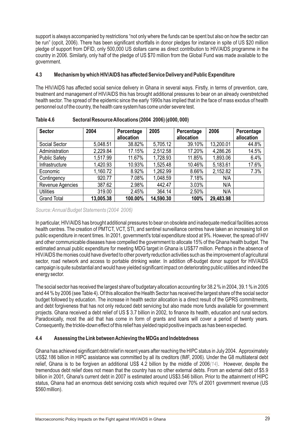support is always accompanied by restrictions "not only where the funds can be spent but also on how the sector can be run" (opcit, 2006). There has been significant shortfalls in donor pledges for instance in spite of US \$20 million pledge of support from DFID, only 500,000 US dollars came as direct contribution to HIV/AIDS programme in the country in 2006. Similarly, only half of the pledge of US \$70 million from the Global Fund was made available to the government.

#### **4.3 Mechanism by which HIV/AIDS has affected Service Delivery and Public Expenditure**

The HIV/AIDS has affected social service delivery in Ghana in several ways. Firstly, in terms of prevention, care, treatment and management of HIV/AIDS this has brought additional pressures to bear on an already overstretched health sector. The spread of the epidemic since the early 1990s has implied that in the face of mass exodus of health personnel out of the country, the health care system has come under severe test.

| <b>Sector</b>        | 2004      | Percentage<br>allocation | 2005      | Percentage<br>allocation | 2006      | Percentage<br>allocation |
|----------------------|-----------|--------------------------|-----------|--------------------------|-----------|--------------------------|
| Social Sector        | 5,048.51  | 38.82%                   | 5,705.12  | 39.10%                   | 13,200.01 | 44.8%                    |
| Administration       | 2,229.84  | 17.15%                   | 2,512.58  | 17.20%                   | 4,286.26  | 14.5%                    |
| <b>Public Safety</b> | 1,517.99  | 11.67%                   | 1,728.93  | 11.85%                   | 1,893.06  | 6.4%                     |
| Infrastructure       | 1,420.93  | 10.93%                   | 1,525.48  | 10.46%                   | 5,183.61  | 17.6%                    |
| Economic             | 1,160.72  | 8.92%                    | 1,262.99  | 8.66%                    | 2,152.82  | 7.3%                     |
| Contingency          | 920.77    | 7.08%                    | 1,048.59  | 7.18%                    | N/A       |                          |
| Revenue Agencies     | 387.62    | 2.98%                    | 442.47    | 3.03%                    | N/A       |                          |
| <b>Utilities</b>     | 319.00    | 2.45%                    | 364.14    | 2.50%                    | N/A       |                          |
| <b>Grand Total</b>   | 13,005.38 | 100.00%                  | 14,590.30 | 100%                     | 29,483.98 |                          |

**Table 4.6 Sectoral Resource Allocations (2004 2006) (¢000, 000)**

*Source: Annual Budget Statements (2004 2006)*

In particular, HIV/AIDS has brought additional pressures to bear on obsolete and inadequate medical facilities across health centres. The creation of PMTCT, VCT, STI, and sentinel surveillance centres have taken an increasing toll on public expenditure in recent times. In 2001, government's total expenditure stood at 9%. However, the spread of HIV and other communicable diseases have compelled the government to allocate 15% of the Ghana health budget. The estimated annual public expenditure for meeting MDG target in Ghana is US\$77 million. Perhaps in the absence of HIV/AIDS the monies could have diverted to other poverty reduction activities such as the improvement of agricultural sector, road network and access to portable drinking water. In addition off-budget donor support for HIV/AIDS campaign is quite substantial and would have yielded significant impact on deteriorating public utilities and indeed the energy sector.

The social sector has received the largest share of budgetary allocation accounting for 38.2 % in 2004, 39.1 % in 2005 and 44 % by 2006 (see Table 4). Of this allocation the Health Sector has received the largest share of the social sector budget followed by education. The increase in health sector allocation is a direct result of the GPRS commitments, and debt forgiveness that has not only reduced debt servicing but also made more funds available for government projects. Ghana received a debt relief of US \$ 3.7 billion in 2002, to finance its health, education and rural sectors. Paradoxically, most the aid that has come in form of grants and loans will cover a period of twenty years. Consequently, the trickle-down effect of this relief has yielded rapid positive impacts as has been expected.

#### **4.4 Assessing the Link between Achieving the MDGs and Indebtedness**

Ghana has achieved significant debt relief in recent years after reaching the HIPC status in July 2004. Approximately US\$2.186 billion in HIPC assistance was committed by all its creditors (IMF, 2006). Under the G8 multilateral debt relief, Ghana is to be forgiven an additional US\$ 4.2 billion by the middle of 2006(14). However, despite the tremendous debt relief does not mean that the country has no other external debts. From an external debt of \$5.9 billion in 2001, Ghana's current debt in 2007 is estimated around US\$3.546 billion. Prior to the attainment of HIPC status, Ghana had an enormous debt servicing costs which required over 70% of 2001 government revenue (US \$560 million).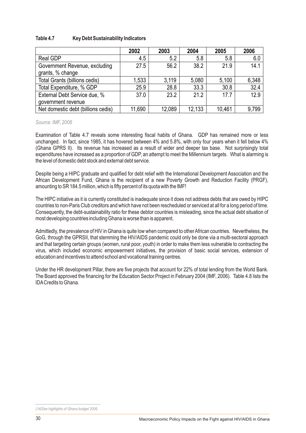| Table 4.7 | <b>Key Debt Sustainability Indicators</b> |  |
|-----------|-------------------------------------------|--|
|           |                                           |  |

|                                                    | 2002   | 2003   | 2004   | 2005   | 2006  |
|----------------------------------------------------|--------|--------|--------|--------|-------|
| <b>Real GDP</b>                                    | 4.5    | 5.2    | 5.8    | 5.8    | 6.0   |
| Government Revenue, excluding<br>grants, % change  | 27.5   | 56.2   | 38.2   | 21.9   | 14.1  |
| <b>Total Grants (billions cedis)</b>               | 1,533  | 3,119  | 5,080  | 5,100  | 6,348 |
| Total Expenditure, % GDP                           | 25.9   | 28.8   | 33.3   | 30.8   | 32.4  |
| External Debt Service due, %<br>government revenue | 37.0   | 23.2   | 21.2   | 17.7   | 12.9  |
| Net domestic debt (billions cedis)                 | 11,690 | 12,089 | 12,133 | 10,461 | 9,799 |

*Source: IMF, 2006*

Examination of Table 4.7 reveals some interesting fiscal habits of Ghana. GDP has remained more or less unchanged. In fact, since 1985, it has hovered between 4% and 5.8%, with only four years when it fell below 4% (Ghana GPRS II). Its revenue has increased as a result of wider and deeper tax base. Not surprisingly total expenditures have increased as a proportion of GDP, an attempt to meet the Millennium targets. What is alarming is the level of domestic debt stock and external debt service.

Despite being a HIPC graduate and qualified for debt relief with the International Development Association and the African Development Fund, Ghana is the recipient of a new Poverty Growth and Reduction Facility (PRGF), amounting to SR 184.5 million, which is fifty percent of its quota with the IMF!

The HIPC initiative as it is currently constituted is inadequate since it does not address debts that are owed by HIPC countries to non-Paris Club creditors and which have not been rescheduled or serviced at all for a long period of time. Consequently, the debt-sustainability ratio for these debtor countries is misleading, since the actual debt situation of most developing countries including Ghana is worse than is apparent.

Admittedly, the prevalence of HIV in Ghana is quite low when compared to other African countries. Nevertheless, the GoG, through the GPRSII, that stemming the HIV/AIDS pandemic could only be done via a multi-sectoral approach and that targeting certain groups (women, rural poor, youth) in order to make them less vulnerable to contracting the virus, which included economic empowerment initiatives, the provision of basic social services, extension of education and incentives to attend school and vocational training centres.

Under the HR development Pillar, there are five projects that account for 22% of total lending from the World Bank. The Board approved the financing for the Education Sector Project in February 2004 (IMF, 2006). Table 4.8 lists the IDACredits to Ghana.

*<sup>(14)</sup>See highlights of Ghana budget 2006.*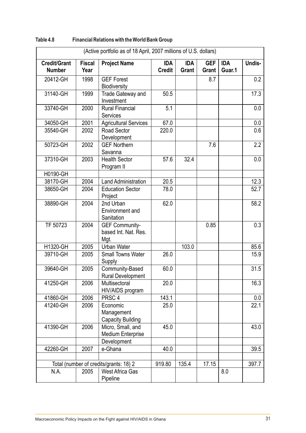|                                      |                       | (Active portfolio as of 18 April, 2007 millions of U.S. dollars) |                             |                            |                            |                      |        |
|--------------------------------------|-----------------------|------------------------------------------------------------------|-----------------------------|----------------------------|----------------------------|----------------------|--------|
| <b>Credit/Grant</b><br><b>Number</b> | <b>Fiscal</b><br>Year | <b>Project Name</b>                                              | <b>IDA</b><br><b>Credit</b> | <b>IDA</b><br><b>Grant</b> | <b>GEF</b><br><b>Grant</b> | <b>IDA</b><br>Guar.1 | Undis- |
| 20412-GH                             | 1998                  | <b>GEF Forest</b><br><b>Biodiversity</b>                         |                             |                            | 8.7                        |                      | 0.2    |
| 31140-GH                             | 1999                  | Trade Gateway and<br>Investment                                  | 50.5                        |                            |                            |                      | 17.3   |
| 33740-GH                             | 2000                  | <b>Rural Financial</b><br><b>Services</b>                        | 5.1                         |                            |                            |                      | 0.0    |
| 34050-GH                             | 2001                  | <b>Agricultural Services</b>                                     | 67.0                        |                            |                            |                      | 0.0    |
| 35540-GH                             | 2002                  | Road Sector<br>Development                                       | 220.0                       |                            |                            |                      | 0.6    |
| 50723-GH                             | 2002                  | <b>GEF Northern</b><br>Savanna                                   |                             |                            | 7.6                        |                      | 2.2    |
| 37310-GH                             | 2003                  | <b>Health Sector</b><br>Program II                               | 57.6                        | 32.4                       |                            |                      | 0.0    |
| H0190-GH                             |                       |                                                                  |                             |                            |                            |                      |        |
| 38170-GH                             | 2004                  | <b>Land Administration</b>                                       | 20.5                        |                            |                            |                      | 12.3   |
| 38650-GH                             | 2004                  | <b>Education Sector</b><br>Project                               | 78.0                        |                            |                            |                      | 52.7   |
| 38890-GH                             | 2004                  | 2nd Urban<br><b>Environment and</b><br>Sanitation                | 62.0                        |                            |                            |                      | 58.2   |
| TF 50723                             | 2004                  | <b>GEF Community-</b><br>based Int. Nat. Res.<br>Mgt.            |                             |                            | 0.85                       |                      | 0.3    |
| H1320-GH                             | 2005                  | <b>Urban Water</b>                                               |                             | 103.0                      |                            |                      | 85.6   |
| 39710-GH                             | 2005                  | <b>Small Towns Water</b><br>Supply                               | 26.0                        |                            |                            |                      | 15.9   |
| 39640-GH                             | 2005                  | Community-Based<br><b>Rural Development</b>                      | 60.0                        |                            |                            |                      | 31.5   |
| 41250-GH                             | 2006                  | Multisectoral<br>HIV/AIDS program                                | 20.0                        |                            |                            |                      | 16.3   |
| 41860-GH                             | 2006                  | PRSC <sub>4</sub>                                                | 143.1                       |                            |                            |                      | 0.0    |
| 41240-GH                             | 2006                  | Economic<br>Management<br><b>Capacity Building</b>               | 25.0                        |                            |                            |                      | 22.1   |
| 41390-GH                             | 2006                  | Micro, Small, and<br><b>Medium Enterprise</b><br>Development     | 45.0                        |                            |                            |                      | 43.0   |
| 42260-GH                             | 2007                  | e-Ghana                                                          | 40.0                        |                            |                            |                      | 39.5   |
|                                      |                       |                                                                  |                             |                            |                            |                      |        |
|                                      |                       | Total (number of credits/grants: 18) 2                           | 919.80                      | 135.4                      | 17.15                      |                      | 397.7  |
| N.A.                                 | 2005                  | <b>West Africa Gas</b><br>Pipeline                               |                             |                            |                            | 8.0                  |        |

| Table 4.8 | <b>Financial Relations with the World Bank Group</b> |
|-----------|------------------------------------------------------|
|-----------|------------------------------------------------------|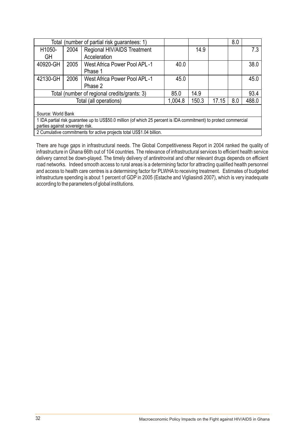| Total (number of partial risk guarantees: 1)                                                                      |      |                                              |         |       |       | 8.0 |       |
|-------------------------------------------------------------------------------------------------------------------|------|----------------------------------------------|---------|-------|-------|-----|-------|
| H <sub>1050</sub> -                                                                                               | 2004 | Regional HIV/AIDS Treatment                  |         | 14.9  |       |     | 7.3   |
| <b>GH</b>                                                                                                         |      | Acceleration                                 |         |       |       |     |       |
| 40920-GH                                                                                                          | 2005 | <b>West Africa Power Pool APL-1</b>          | 40.0    |       |       |     | 38.0  |
|                                                                                                                   |      | Phase 1                                      |         |       |       |     |       |
| 42130-GH                                                                                                          | 2006 | <b>West Africa Power Pool APL-1</b>          | 45.0    |       |       |     | 45.0  |
|                                                                                                                   |      | Phase 2                                      |         |       |       |     |       |
|                                                                                                                   |      | Total (number of regional credits/grants: 3) | 85.0    | 14.9  |       |     | 93.4  |
|                                                                                                                   |      | Total (all operations)                       | 1,004.8 | 150.3 | 17.15 | 8.0 | 488.0 |
|                                                                                                                   |      |                                              |         |       |       |     |       |
| Source: World Bank                                                                                                |      |                                              |         |       |       |     |       |
| 1 IDA partial risk guarantee up to US\$50.0 million (of which 25 percent is IDA commitment) to protect commercial |      |                                              |         |       |       |     |       |
| parties against sovereign risk.                                                                                   |      |                                              |         |       |       |     |       |

2 Cumulative commitments for active projects total US\$1.04 billion.

There are huge gaps in infrastructural needs. The Global Competitiveness Report in 2004 ranked the quality of infrastructure in Ghana 66th out of 104 countries. The relevance of infrastructural services to efficient health service delivery cannot be down-played. The timely delivery of antiretroviral and other relevant drugs depends on efficient road networks. Indeed smooth access to rural areas is a determining factor for attracting qualified health personnel and access to health care centres is a determining factor for PLWHA to receiving treatment. Estimates of budgeted infrastructure spending is about 1 percent of GDP in 2005 (Estache and Vigliasindi 2007), which is very inadequate according to the parameters of global institutions.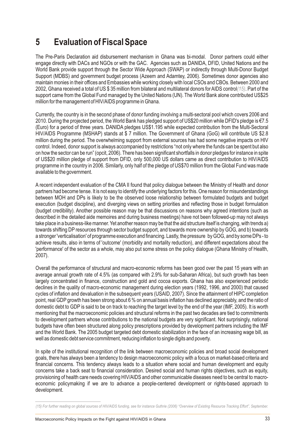### **5 Evaluation of Fiscal Space**

The Pre-Paris Declaration aid disbursement mechanism in Ghana was bi-modal. Donor partners could either engage directly with DACs and NGOs or with the GAC. Agencies such as DANIDA, DFID, United Nations and the World Bank provide support through the Sector Wide Approach (SWAP) or indirectly through Multi-Donor Budget Support (MDBS) and government budget process (Azeem and Adamtey, 2006). Sometimes donor agencies also maintain monies in their offices and Embassies while working closely with local CSOs and CBOs. Between 2000 and 2002, Ghana received a total of US \$ 35 million from bilateral and multilateral donors for AIDS control*(15)*. Part of the support came from the Global Fund managed by the United Nations (UN). The World Bank alone contributed US\$25 million for the management of HIV/AIDS programme in Ghana.

Currently, the country is in the second phase of donor funding involving a multi-sectoral pool which covers 2006 and 2010. During the projected period, the World Bank has pledged support of US\$20 million while DFID's pledge is €7.5 (Euro) for a period of three years. DANIDA pledges US\$1.195 while expected contribution from the Multi-Sectoral HIV/AIDS Programme (MSHAP) stands at \$ 7 million. The Government of Ghana (GoG) will contribute US \$2.8 million during the period. The overwhelming support from external sources has had some negative impacts on HIV control. Indeed, donor support is always accompanied by restrictions "not only where the funds can be spent but also on how the sector can be run" (opcit, 2006). There has been significant shortfalls in donor pledges for instance in spite of US\$20 million pledge of support from DFID, only 500,000 US dollars came as direct contribution to HIV/AIDS programme in the country in 2006. Similarly, only half of the pledge of US\$70 million from the Global Fund was made available to the government.

A recent independent evaluation of the CMA II found that policy dialogue between the Ministry of Health and donor partners had become tense. It is not easy to identify the underlying factors for this. One reason for misunderstandings between MOH and DPs is likely to be the observed loose relationship between formulated budgets and budget execution (budget discipline), and diverging views on setting priorities and reflecting those in budget formulation (budget credibility). Another possible reason may be that discussions on reasons why agreed intentions (such as described in the detailed aide memoires and during business meetings) have not been followed-up may not always take place in a business-like manner. Yet another reason may be that the aid structure itself is changing, with trends a) towards shifting DP resources through sector budget support, and towards more ownership by GOG, and b) towards a stronger 'verticalisation' of programme execution and financing. Lastly, the pressure by GOG, and by some DPs - to achieve results, also in terms of 'outcome' (morbidity and mortality reduction), and different expectations about the 'performance' of the sector as a whole, may also put some stress on the policy dialogue (Ghana Ministry of Health, 2007).

Overall the performance of structural and macro-economic reforms has been good over the past 15 years with an average annual growth rate of 4.5% (as compared with 2.9% for sub-Saharan Africa), but such growth has been largely concentrated in finance, construction and gold and cocoa exports. Ghana has also experienced periodic declines in the quality of macro-economic management during election years (1992, 1996, and 2000) that caused cycles of inflation and devaluation in the subsequent years (USAID, 2007). Since the attainment of HIPC completion point, real GDP growth has been strong about 6 % on annual basis inflation has declined appreciably, and the ratio of domestic debt to GDP is said to be on track to reaching the target level by the end of the year (IMF, 2005). It is worth mentioning that the macroeconomic policies and structural reforms in the past two decades are tied to commitments to development partners whose contributions to the national budgets are very significant. Not surprisingly, national budgets have often been structured along policy prescriptions provided by development partners including the IMF and the World Bank. The 2005 budget targeted debt domestic stabilization in the face of an increasing wage bill, as well as domestic debt service commitment, reducing inflation to single digits and poverty.

In spite of the institutional recognition of the link between macroeconomic policies and broad social development goals, there has always been a tendency to design macroeconomic policy with a focus on market-based criteria and financial concerns. This tendency always leads to a situation where social and human development and equity concerns take a back seat to financial consideration. Desired social and human rights objectives, such as equity, provisioning of health care needs covering HIV/AIDS and other communicable diseases need to be central to macroeconomic policymaking if we are to advance a people-centered development or rights-based approach to development.

*<sup>(15)</sup> For further reading on global sources of HIV/AIDS funding, see for instance Guthrie (2006) "Overview of Existing Resource Tracking Effort", September.*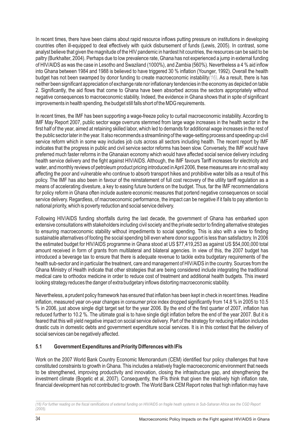In recent times, there have been claims about rapid resource inflows putting pressure on institutions in developing countries often ill-equipped to deal effectively with quick disbursement of funds (Lewis, 2005). In contrast, some analyst believe that given the magnitude of the HIV pandemic in hardest hit countries, the resources can be said to be paltry (Burkhalter, 2004). Perhaps due to low prevalence rate, Ghana has not experienced a jump in external funding of HIV/AIDS as was the case in Lesotho and Swaziland (1000%), and Zambia (560%). Nevertheless a 4 % aid inflow into Ghana between 1984 and 1988 is believed to have triggered 30 % inflation (Younger, 1992). Overall the health budget has not been swamped by donor funding to create macroeconomic instability(16). As a result, there is has neither been significant appreciation of exchange rate nor inflationary tendencies in the economy as depicted on table 2. Significantly, the aid flows that come to Ghana have been absorbed across the sectors appropriately without negative consequences to macroeconomic stability. Indeed, the evidence in Ghana shows that in spite of significant improvements in health spending, the budget still falls short of the MDG requirements.

In recent times, the IMF has been supporting a wage-freeze policy to curtail macroeconomic instability. According to IMF May Report 2007, public sector wage overruns stemmed from large wage increases in the health sector in the first half of the year, aimed at retaining skilled labor, which led to demands for additional wage increases in the rest of the public sector later in the year. It also recommends a streamlining of the wage-setting process and speeding up civil service reform which in some way includes job cuts across all sectors including health. The recent report by IMF indicates that the progress in public and civil service sector reforms has been slow. Conversely, the IMF would have preferred much faster reforms in the Ghanaian economy which would have affected social service delivery including health service delivery and the fight against HIV/AIDS. Although, the IMF favours Tariff increases for electricity and water, and monthly reviews of petroleum product pricing introduced in April 2006, these measures are in no small way affecting the poor and vulnerable who continue to absorb transport hikes and prohibitive water bills as a result of this policy. The IMF has also been in favour of the reinstatement of full cost recovery of the utility tariff regulation as a means of accelerating divesture, a key to easing future burdens on the budget. Thus, far the IMF recommendations for policy reform in Ghana often include austere economic measures that portend negative consequences on social service delivery. Regardless, of macroeconomic performance, the impact can be negative if it fails to pay attention to national priority, which is poverty reduction and social service delivery.

Following HIV/AIDS funding shortfalls during the last decade, the government of Ghana has embarked upon extensive consultations with stakeholders including civil society and the private sector to finding alternative strategies to ensuring macroeconomic stability without impediments to social spending. This is also with a view to finding sustainable alternatives of footing the social spending bill even where donor support is less than satisfactory. In 2006 the estimated budget for HIV/AIDS programme in Ghana stood at US \$77,419,253 as against US \$54,000,000 total amount received in form of grants from multilateral and bilateral agencies. In view of this, the 2007 budget has introduced a beverage tax to ensure that there is adequate revenue to tackle extra budgetary requirements of the health sub-sector and in particular the treatment, care and management of HIV/AIDS in the country. Sources from the Ghana Ministry of Health indicate that other strategies that are being considered include integrating the traditional medical care to orthodox medicine in order to reduce cost of treatment and additional health budgets. This inward looking strategy reduces the danger of extra budgetary inflows distorting macroeconomic stability.

Nevertheless, a prudent policy framework has ensured that inflation has been kept in check in recent times. Headline inflation, measured year on-year changes in consumer price index dropped significantly from 14.8 % in 2005 to 10.5 % in 2006, just above single digit target set for the year 2006. By the end of the first quarter of 2007, inflation has reduced further to 10.2 %. The ultimate goal is to have single digit inflation before the end of the year 2007. But it is feared that this will yield negative impact on social service delivery. Part of the strategy for reducing inflation includes drastic cuts in domestic debts and government expenditure social services. It is in this context that the delivery of social services can be negatively affected.

#### **5.1 Government Expenditures and Priority Differences with IFIs**

Work on the 2007 World Bank Country Economic Memorandum (CEM) identified four policy challenges that have constituted constraints to growth in Ghana. This includes a relatively fragile macroeconomic environment that needs to be strengthened, improving productivity and innovation, closing the infrastructure gap, and strengthening the investment climate (Bogetic et al, 2007). Consequently, the IFIs think that given the relatively high inflation rate, financial development has not contributed to growth. The World Bank CEM Report notes that high inflation may have

*<sup>(16)</sup> For further reading on the fiscal ramifications of external funding on HIV/AIDS on fragile heath systems in Sub-Saharan Africa see the CGD Report (2005).*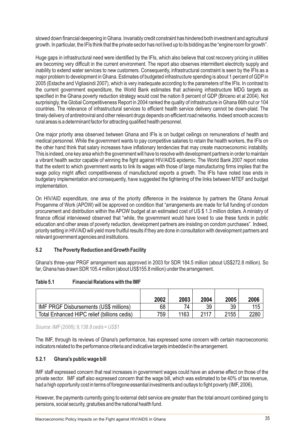slowed down financial deepening in Ghana. Invariably credit constraint has hindered both investment and agricultural growth. In particular, the IFIs think that the private sector has not lived up to its bidding as the "engine room for growth".

Huge gaps in infrastructural need were identified by the IFIs, which also believe that cost recovery pricing in utilities are becoming very difficult in the current environment. The report also observes intermittent electricity supply and inability to extend water services to new customers. Consequently, infrastructural constraint is seen by the IFIs as a major problem to development in Ghana. Estimates of budgeted infrastructure spending is about 1 percent of GDP in 2005 (Estache and Vigliasindi 2007), which is very inadequate according to the parameters of the IFIs. In contrast to the current government expenditure, the World Bank estimates that achieving infrastructure MDG targets as specified in the Ghana poverty reduction strategy would cost the nation 8 percent of GDP (Briceno et al 2004). Not surprisingly, the Global Competitiveness Report in 2004 ranked the quality of infrastructure in Ghana 66th out or 104 countries. The relevance of infrastructural services to efficient health service delivery cannot be down-plaid. The timely delivery of antiretroviral and other relevant drugs depends on efficient road networks. Indeed smooth access to rural areas is a determinant factor for attracting qualified health personnel.

One major priority area observed between Ghana and IFIs is on budget ceilings on remunerations of health and medical personnel. While the government wants to pay competitive salaries to retain the health workers, the IFIs on the other hand think that salary increases have inflationary tendencies that may create macroeconomic instability. This is indeed, one key area which the government will have to resolve with development partners in order to maintain a vibrant health sector capable of winning the fight against HIV/AIDS epidemic. The World Bank 2007 report notes that the extent to which government wants to link its wages with those of large manufacturing firms implies that the wage policy might affect competitiveness of manufactured exports a growth. The IFIs have noted lose ends in budgetary implementation and consequently, have suggested the tightening of the links between MTEF and budget implementation.

On HIV/AID expenditure, one area of the priority difference in the insistence by partners the Ghana Annual Progamme of Work (APOW) will be approved on condition that "arrangements are made for full funding of condom procurement and distribution within the APOW budget at an estimated cost of US \$ 1.3 million dollars. Aministry of finance official interviewed observed that "while, the government would have loved to use these funds in public education and other areas of poverty reduction, development partners are insisting on condom purchases". Indeed, priority setting in HIV/AID will yield more fruitful results if they are done in consultation with development partners and relevant government agencies and institutions.

#### **5.2 The Poverty Reduction and Growth Facility**

Ghana's three-year PRGF arrangement was approved in 2003 for SDR 184.5 million (about US\$272.8 million). So far, Ghana has drawn SDR 105.4 million (about US\$155.8 million) under the arrangement.

|                                               | 2002 | 2003 | 2004 | 2005 | 2006 |
|-----------------------------------------------|------|------|------|------|------|
| <b>IMF PRGF Disbursements (US\$ millions)</b> | 68   |      | 39   | 39   | 115  |
| Total Enhanced HIPC relief (billions cedis)   | 759  | 1163 | 2117 | 2155 | 2280 |

*Source: IMF (2006); 9,138.8 cedis = US\$1*

The IMF, through its reviews of Ghana's performance, has expressed some concern with certain macroeconomic indicators related to the performance criteria and indicative targets imbedded in the arrangement.

#### **5.2.1 Ghana's public wage bill**

IMF staff expressed concern that real increases in government wages could have an adverse effect on those of the private sector. IMF staff also expressed concern that the wage bill, which was estimated to be 40% of tax revenue, had a high opportunity cost in terms of foregone essential investments and outlays to fight poverty (IMF, 2006).

However, the payments currently going to external debt service are greater than the total amount combined going to pensions, social security, gratuities and the national health fund.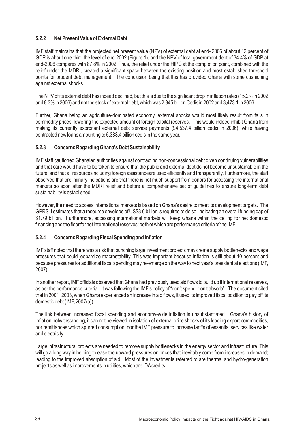#### **5.2.2 Net Present Value of External Debt**

IMF staff maintains that the projected net present value (NPV) of external debt at end- 2006 of about 12 percent of GDP is about one-third the level of end-2002 (Figure 1), and the NPV of total government debt of 34.4% of GDP at end-2006 compares with 87.8% in 2002. Thus, the relief under the HIPC at the completion point, combined with the relief under the MDRI, created a significant space between the existing position and most established threshold points for prudent debt management. The conclusion being that this has provided Ghana with some cushioning against external shocks.

The NPV of its external debt has indeed declined, but this is due to the significant drop in inflation rates (15.2% in 2002 and 8.3% in 2006) and not the stock of external debt, which was 2,345 billion Cedis in 2002 and 3,473.1 in 2006.

Further, Ghana being an agriculture-dominated economy, external shocks would most likely result from falls in commodity prices, lowering the expected amount of foreign capital reserves. This would indeed inhibit Ghana from making its currently exorbitant external debt service payments (\$4,537.4 billion cedis in 2006), while having contracted new loans amounting to 5,383.4 billion cedis in the same year.

#### **5.2.3 Concerns Regarding Ghana's Debt Sustainability**

IMF staff cautioned Ghanaian authorities against contracting non-concessional debt given continuing vulnerabilities and that care would have to be taken to ensure that the public and external debt do not become unsustainable in the future, and that all resourcesincluding foreign assistanceare used efficiently and transparently. Furthermore, the staff observed that preliminary indications are that there is not much support from donors for accessing the international markets so soon after the MDRI relief and before a comprehensive set of guidelines to ensure long-term debt sustainability is established.

However, the need to access international markets is based on Ghana's desire to meet its development targets. The GPRS II estimates that a resource envelope of US\$8.6 billion is required to do so; indicating an overall funding gap of \$1.79 billion. Furthermore, accessing international markets will keep Ghana within the ceiling for net domestic financing and the floor for net international reserves; both of which are performance criteria of the IMF.

#### **5.2.4 Concerns Regarding Fiscal Spending and Inflation**

IMF staff noted that there was a risk that bunching large investment projects may create supply bottlenecks and wage pressures that could jeopardize macrostability. This was important because inflation is still about 10 percent and because pressures for additional fiscal spending may re-emerge on the way to next year's presidential elections (IMF, 2007).

In another report, IMF officials observed that Ghana had previously used aid flows to build up it international reserves, as per the performance criteria. It was following the IMF's policy of "don't spend, don't absorb". The document cited that in 2001 2003, when Ghana experienced an increase in aid flows, it used its improved fiscal position to pay off its domestic debt (IMF, 2007(a)).

The link between increased fiscal spending and economy-wide inflation is unsubstantiated. Ghana's history of inflation notwithstanding, it can not be viewed in isolation of external price shocks of its leading export commodities, nor remittances which spurred consumption, nor the IMF pressure to increase tariffs of essential services like water and electricity.

Large infrastructural projects are needed to remove supply bottlenecks in the energy sector and infrastructure. This will go a long way in helping to ease the upward pressures on prices that inevitably come from increases in demand; leading to the improved absorption of aid. Most of the investments referred to are thermal and hydro-generation projects as well as improvements in utilities, which are IDAcredits.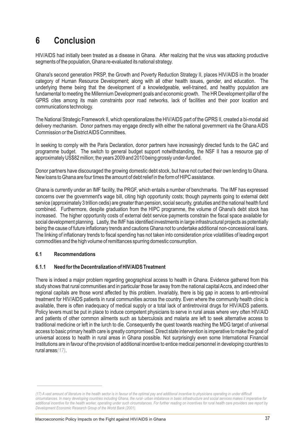### **6 Conclusion**

HIV/AIDS had initially been treated as a disease in Ghana. After realizing that the virus was attacking productive segments of the population, Ghana re-evaluated its national strategy.

Ghana's second generation PRSP, the Growth and Poverty Reduction Strategy II, places HIV/AIDS in the broader category of Human Resource Development; along with all other health issues, gender, and education. The underlying theme being that the development of a knowledgeable, well-trained, and healthy population are fundamental to meeting the Millennium Development goals and economic growth. The HR Development pillar of the GPRS cites among its main constraints poor road networks, lack of facilities and their poor location and communications technology.

The National Strategic Framework II, which operationalizes the HIV/AIDS part of the GPRS II, created a bi-modal aid delivery mechanism. Donor partners may engage directly with either the national government via the Ghana AIDS Commission or the District AIDS Committees.

In seeking to comply with the Paris Declaration, donor partners have increasingly directed funds to the GAC and programme budget. The switch to general budget support notwithstanding, the NSF II has a resource gap of approximately US\$82 million; the years 2009 and 2010 being grossly under-funded.

Donor partners have discouraged the growing domestic debt stock, but have not curbed their own lending to Ghana. New loans to Ghana are four times the amount of debt relief in the form of HIPC assistance.

Ghana is currently under an IMF facility, the PRGF, which entails a number of benchmarks. The IMF has expressed concerns over the government's wage bill, citing high opportunity costs; though payments going to external debt service (approximately 3 trillion cedis) are greater than pension, social security, gratuities and the national health fund combined. Furthermore, despite graduation from the HIPC programme, the volume of Ghana's debt stock has increased. The higher opportunity costs of external debt service payments constrain the fiscal space available for social development planning. Lastly, the IMF has identified investments in large infrastructural projects as potentially being the cause of future inflationary trends and cautions Ghana not to undertake additional non-concessional loans. The linking of inflationary trends to fiscal spending has not taken into consideration price volatilities of leading export commodities and the high volume of remittances spurring domestic consumption.

#### **6.1 Recommendations**

#### **6.1.1 Need for the Decentralization of HIV/AIDS Treatment**

There is indeed a major problem regarding geographical access to health in Ghana. Evidence gathered from this study shows that rural communities and in particular those far away from the national capital Accra, and indeed other regional capitals are those worst affected by this problem. Invariably, there is big gap in access to anti-retroviral treatment for HIV/AIDS patients in rural communities across the country. Even where the community health clinic is available, there is often inadequacy of medical supply or a total lack of antiretroviral drugs for HIV/AIDS patients. Policy levers must be put in place to induce competent physicians to serve in rural areas where very often HIV/AID and patients of other common ailments such as tuberculosis and malaria are left to seek alternative access to traditional medicine or left in the lurch to die. Consequently the quest towards reaching the MDG target of universal access to basic primary health care is greatly compromised. Direct state intervention is imperative to make the goal of universal access to health in rural areas in Ghana possible. Not surprisingly even some International Financial Institutions are in favour of the provision of additional incentive to entice medical personnel in developing countries to rural areas*(17)*.

*<sup>(17)</sup> A vast amount of literature in the health sector is in favour of the optimal pay and additional incentive to physicians operating in under difficult circumstances. In many developing countries including Ghana, the rural- urban imbalance in basic infrastructure and social services makes it imperative for additional incentive for the health worker, operating under such circumstances. For further reading on incentives for rural health care providers see report by Development Economic Research Group of the World Bank (2001).*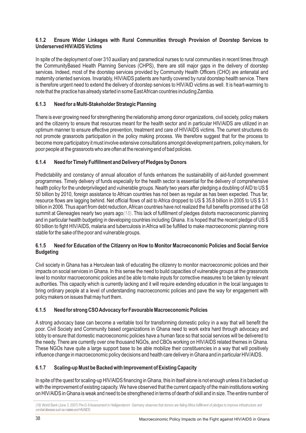#### **6.1.2 Ensure Wider Linkages with Rural Communities through Provision of Doorstep Services to Underserved HIV/AIDS Victims**

In spite of the deployment of over 310 auxiliary and paramedical nurses to rural communities in recent times through the CommunityBased Health Planning Services (CHPS), there are still major gaps in the delivery of doorstep services. Indeed, most of the doorstep services provided by Community Health Officers (CHO) are antenatal and maternity oriented services. Invariably, HIV/AIDS patients are hardly covered by rural doorstep health service. There is therefore urgent need to extend the delivery of doorstep services to HIV/AID victims as well. It is heart-warming to note that the practice has already started in some East African countries including Zambia.

#### **6.1.3 Need for a Multi-Stakeholder Strategic Planning**

There is ever growing need for strengthening the relationship among donor organizations, civil society, policy makers and the citizenry to ensure that resources meant for the health sector and in particular HIV/AIDS are utilized in an optimum manner to ensure effective prevention, treatment and care of HIV/AIDS victims. The current structures do not promote grassroots participation in the policy making process. We therefore suggest that for the process to become more participatory it must involve extensive consultations amongst development partners, policy makers, for poor people at the grassroots who are often at the receiving end of bad policies.

#### **6.1.4 Need for Timely Fulfillment and Delivery of Pledges by Donors**

Predictability and constancy of annual allocation of funds enhances the sustainability of aid-funded government programmes. Timely delivery of funds especially for the health sector is essential for the delivery of comprehensive health policy for the underprivileged and vulnerable groups. Nearly two years after pledging a doubling of AID to US \$ 50 billion by 2010, foreign assistance to African countries has not been as regular as has been expected. Thus far, resource flows are lagging behind. Net official flows of aid to Africa dropped to US \$ 35.8 billion in 2005 to US \$ 3.1 billion in 2006. Thus apart from debt reduction, African countries have not realized the full benefits promised at the G8 summit at Gleneagles nearly two years ago $(18)$ . This lack of fulfillment of pledges distorts macroeconomic planning and in particular health budgeting in developing countries including Ghana. It is hoped that the recent pledge of US \$ 60 billion to fight HIV/AIDS, malaria and tuberculosis in Africa will be fulfilled to make macroeconomic planning more stable for the sake of the poor and vulnerable groups.

#### **6.1.5 Need for Education of the Citizenry on How to Monitor Macroeconomic Policies and Social Service Budgeting**

Civil society in Ghana has a Herculean task of educating the citizenry to monitor macroeconomic policies and their impacts on social services in Ghana. In this sense the need to build capacities of vulnerable groups at the grassroots level to monitor macroeconomic policies and be able to make inputs for corrective measures to be taken by relevant authorities. This capacity which is currently lacking and it will require extending education in the local languages to bring ordinary people at a level of understanding macroeconomic policies and pave the way for engagement with policy makers on issues that may hurt them.

#### **6.1.5 Need for strong CSO Advocacy for Favourable Macroeconomic Policies**

A strong advocacy base can become a veritable tool for transforming domestic policy in a way that will benefit the poor. Civil Society and Community based organizations in Ghana need to work extra hard through advocacy and lobby to ensure that domestic macroeconomic policies have a human face so that social services will be delivered to the needy. There are currently over one thousand NGOs, and CBOs working on HIV/AIDS related themes in Ghana. These NGOs have quite a large support base to be able mobilize their constituencies in a way that will positively influence change in macroeconomic policy decisions and health care delivery in Ghana and in particular HIV/AIDS.

#### **6.1.7 Scaling-up Must be Backed with Improvement of Existing Capacity**

In spite of the quest for scaling-up HIV/AIDS financing in Ghana, this in itself alone is not enough unless it is backed up with the improvement of existing capacity. We have observed that the current capacity of the main institutions working on HIV/AIDS in Ghana is weak and need to be strengthened in terms of dearth of skill and in size. The entire number of

<sup>(18)</sup> World Bank (June 3, 2007) Pre-G 8 Assessment in Heiligendamm Germany observes that donors are failing Africa fulfillment of pledges to improve infrastructure and *combatdiseasessuchasmalariaandHIV/AIDS.*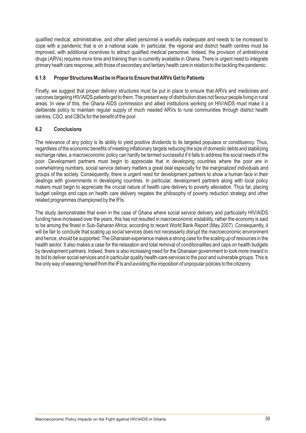qualified medical, administrative, and other allied personnel is woefully inadequate and needs to be increased to cope with a pandemic that is on a national scale. In particular, the regional and district health centres must be improved, with additional incentives to attract qualified medical personnel. Indeed, the provision of antiretroviral drugs (ARVs) requires more time and training than is currently available in Ghana. There is urgent need to integrate primary heath care response, with those of secondary and tertiary health care in relation to the tackling the pandemic.

#### **6.1.8 Proper Structures Must be in Place to Ensure that ARVs Get to Patients**

Finally, we suggest that proper delivery structures must be put in place to ensure that ARVs and medicines and vaccines targeting HIV/AIDS patients get to them. The present way of distribution does not favour people living in rural areas. In view of this, the Ghana AIDS commission and allied institutions working on HIV/AIDS must make it a deliberate policy to maintain regular supply of much needed ARVs to rural communities through district health centres, CSO, and CBOs for the benefit of the poor.

#### **6.2 Conclusions**

The relevance of any policy is its ability to yield positive dividends to its targeted populace or constituency. Thus, regardless of the economic benefits of meeting inflationary targets reducing the size of domestic debts and stabilizing exchange rates, a macroeconomic policy can hardly be termed successful if it fails to address the social needs of the poor. Development partners must begin to appreciate that in developing countries where the poor are in overwhelming numbers, social service delivery matters a great deal especially for the marginalized individuals and groups of the society. Consequently, there is urgent need for development partners to show a human face in their dealings with governments in developing countries. In particular, development partners along with local policy makers must begin to appreciate the crucial nature of health care delivery to poverty alleviation. Thus far, placing budget ceilings and caps on health care delivery negates the philosophy of poverty reduction strategy and other related programmes championed by the IFIs.

The study demonstrates that even in the case of Ghana where social service delivery and particularly HIV/AIDS funding have increased over the years, this has not resulted in macroeconomic instability, rather the economy is said to be among the finest in Sub-Saharan Africa; according to recent World Bank Report (May 2007). Consequently, it will be fair to conclude that scaling up social services does not necessarily disrupt the macroeconomic environment and hence, should be supported. The Ghanaian experience makes a strong case for the scaling up of resources in the health sector. It also makes a case for the relaxation and total removal of conditionalities and caps on health budgets by development partners. Indeed, there is also increasing need for the Ghanaian government to look more inward in its bid to deliver social services and in particular quality health-care services to the poor and vulnerable groups. This is the only way of weaning herself from the IFIs and avoiding the imposition of unpopular policies to the citizenry.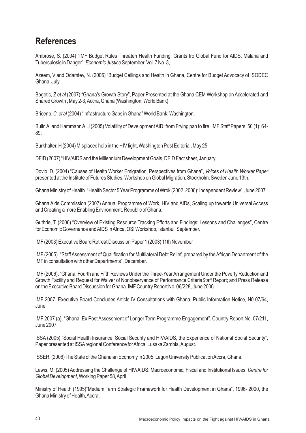### **References**

Ambrose, S. (2004) "IMF Budget Rules Threaten Health Funding: Grants fro Global Fund for AIDS, Malaria and Tuberculosis in Danger", *Economic Justice* September, Vol. 7 No. 3,

Azeem, V and Odamtey, N. (2006) "Budget Ceilings and Health in Ghana, Centre for Budget Advocacy of ISODEC Ghana, July.

Bogetic, *Z et al* (2007) "Ghana's Growth Story", Paper Presented at the Ghana CEM Workshop on Accelerated and Shared Growth , May 2-3, Accra, Ghana (Washington: World Bank).

Briceno, *C. et al* (2004) "Infrastructure Gaps in Ghana" World Bank: Washington.

Bulir, A. and Hammann A. J (2005) Volatility of Development AID: from Frying pan to fire, IMF Staff Papers, 50 (1): 64- 89.

Burkhalter, H (2004) Misplaced help in the HIV fight, Washington Post Editorial, May 25.

DFID (2007) "HIV/AIDS and the Millennium Development Goals, DFID Fact sheet, January.

Dovlo, D. (2004) "Causes of Health Worker Emigration, Perspectives from Ghana", *Voices of Health Worker Paper* presented at the Institute of Futures Studies, Workshop on Global Migration, Stockholm, Sweden June 13th.

Ghana Ministry of Health. "Health Sector 5 Year Programme of Wrok (2002 2006): Independent Review", June 2007.

Ghana Aids Commission (2007) Annual Programme of Work, HIV and AIDs, Scaling up towards Universal Access and Creating a more Enabling Environment, Republic of Ghana.

Guthrie, T. (2006) "Overview of Existing Resource Tracking Efforts and Findings: Lessons and Challenges", Centre for Economic Governance and AIDS in Africa, OSI Workshop, Istanbul, September.

IMF (2003) Executive Board Retreat Discussion Paper 1 (2003) 11th November

IMF (2005). "Staff Assessment of Qualification for Multilateral Debt Relief, prepared by the African Department of the IMF in consultation with other Departments", December.

IMF (2006). "Ghana: Fourth and Fifth Reviews Under the Three-Year Arrangement Under the Poverty Reduction and Growth Facility and Request for Waiver of Nonobservance of Performance CriteriaStaff Report; and Press Release on the Executive Board Discussion for Ghana. IMF Country Report No. 06/228, June 2006.

IMF 2007. Executive Board Concludes Article IV Consultations with Ghana, Public Information Notice, N0 07/64, June

IMF 2007 (a). "Ghana: Ex Post Assessment of Longer Term Programme Engagement". Country Report No. 07/211, June 2007

ISSA (2005) "Social Health Insurance: Social Security and HIV/AIDS, the Experience of National Social Security", Paper presented at ISSAregional Conference for Africa, Lusaka Zambia, August.

ISSER, (2006) The State of the Ghanaian Economy in 2005, Legon University Publication Accra, Ghana.

Lewis, M. (2005) Addressing the Challenge of HIV/AIDS: Macroeconomic, Fiscal and Institutional Issues, *Centre for Global Development*, Working Paper 58, April

Ministry of Health (1995)"Medium Term Strategic Framework for Health Development in Ghana", 1996- 2000, the Ghana Ministry of Health, Accra.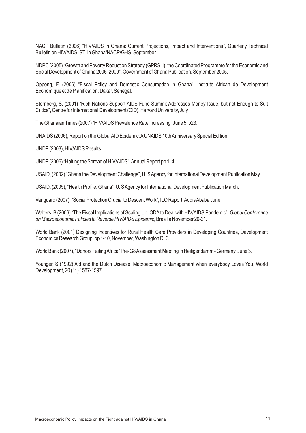NACP Bulletin (2006) "HIV/AIDS in Ghana: Current Projections, Impact and Interventions", Quarterly Technical Bulletin on HIV/AIDS STI in Ghana/NACP/GHS, September.

NDPC (2005) "Growth and Poverty Reduction Strategy (GPRS II): the Coordinated Programme for the Economic and Social Development of Ghana 2006 2009", Government of Ghana Publication, September 2005.

Oppong, F. (2006) "Fiscal Policy and Domestic Consumption in Ghana", Institute African de Development Economique et de Planification, Dakar, Senegal.

Sternberg, S. (2001) "Rich Nations Support AIDS Fund Summit Addresses Money Issue, but not Enough to Suit Critics", Centre for International Development (CID), Harvard University, July

The Ghanaian Times (2007) "HIV/AIDS Prevalence Rate Increasing" June 5, p23.

UNAIDS (2006), Report on the Global AID Epidemic: AUNAIDS 10th Anniversary Special Edition.

UNDP(2003), HIV/AIDS Results

UNDP(2006) "Halting the Spread of HIV/AIDS", Annual Report pp 1- 4.

USAID, (2002) "Ghana the Development Challenge", U. S Agency for International Development Publication May.

USAID, (2005), "Health Profile: Ghana", U. S Agency for International Development Publication March.

Vanguard (2007), "Social Protection Crucial to Descent Work", ILO Report, Addis Ababa June.

Walters, B (2006) "The Fiscal Implications of Scaling Up, ODAto Deal with HIV/AIDS Pandemic", *Global Conference on Macroeconomic Policies to Reverse HIV/AIDS Epidemic*, Brasilia November 20-21.

World Bank (2001) Designing Incentives for Rural Health Care Providers in Developing Countries, Development Economics Research Group, pp 1-10, November, Washington D. C.

World Bank (2007), "Donors Failing Africa" Pre-G8 Assessment Meeting in Heiligendamm - Germany, June 3.

Younger, S (1992) Aid and the Dutch Disease: Macroeconomic Management when everybody Loves You, World Development, 20 (11) 1587-1597.